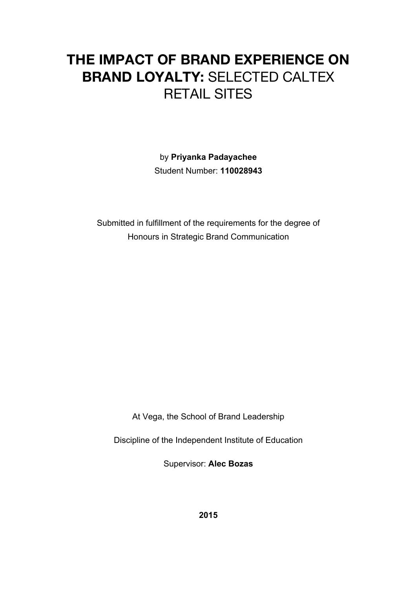# **THE IMPACT OF BRAND EXPERIENCE ON BRAND LOYALTY:** SELECTED CALTEX RETAIL SITES

by **Priyanka Padayachee**  Student Number: **110028943**

Submitted in fulfillment of the requirements for the degree of Honours in Strategic Brand Communication

At Vega, the School of Brand Leadership

Discipline of the Independent Institute of Education

Supervisor: **Alec Bozas**

**2015**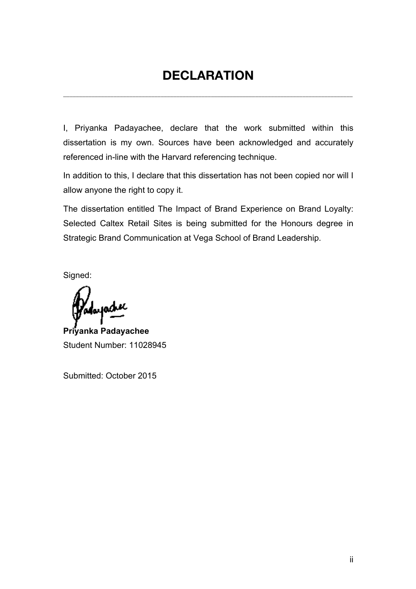# **DECLARATION**

**\_\_\_\_\_\_\_\_\_\_\_\_\_\_\_\_\_\_\_\_\_\_\_\_\_\_\_\_\_\_\_\_\_\_\_\_\_\_\_\_\_\_\_\_\_\_\_\_\_\_\_\_\_\_\_\_\_\_\_\_\_\_\_\_\_\_\_\_\_\_\_\_\_\_\_\_\_\_\_\_\_\_\_\_\_\_\_\_\_\_\_\_**

I, Priyanka Padayachee, declare that the work submitted within this dissertation is my own. Sources have been acknowledged and accurately referenced in-line with the Harvard referencing technique.

In addition to this, I declare that this dissertation has not been copied nor will I allow anyone the right to copy it.

The dissertation entitled The Impact of Brand Experience on Brand Loyalty: Selected Caltex Retail Sites is being submitted for the Honours degree in Strategic Brand Communication at Vega School of Brand Leadership.

Signed:

юĹ

**Priyanka Padayachee** Student Number: 11028945

Submitted: October 2015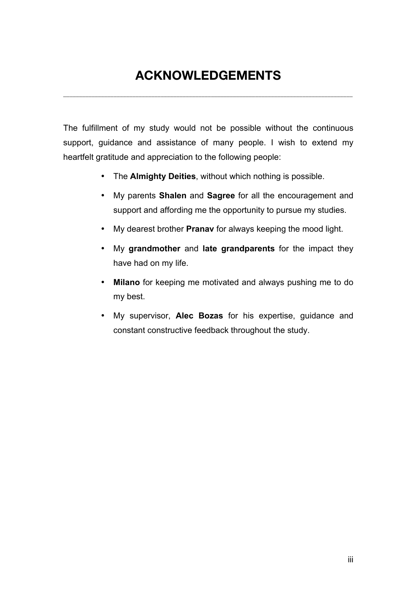# **ACKNOWLEDGEMENTS**

**\_\_\_\_\_\_\_\_\_\_\_\_\_\_\_\_\_\_\_\_\_\_\_\_\_\_\_\_\_\_\_\_\_\_\_\_\_\_\_\_\_\_\_\_\_\_\_\_\_\_\_\_\_\_\_\_\_\_\_\_\_\_\_\_\_\_\_\_\_\_\_\_\_\_\_\_\_\_\_\_\_\_\_\_\_\_\_\_\_\_\_\_**

The fulfillment of my study would not be possible without the continuous support, guidance and assistance of many people. I wish to extend my heartfelt gratitude and appreciation to the following people:

- The **Almighty Deities**, without which nothing is possible.
- My parents **Shalen** and **Sagree** for all the encouragement and support and affording me the opportunity to pursue my studies.
- My dearest brother **Pranav** for always keeping the mood light.
- My **grandmother** and **late grandparents** for the impact they have had on my life.
- **Milano** for keeping me motivated and always pushing me to do my best.
- My supervisor, **Alec Bozas** for his expertise, guidance and constant constructive feedback throughout the study.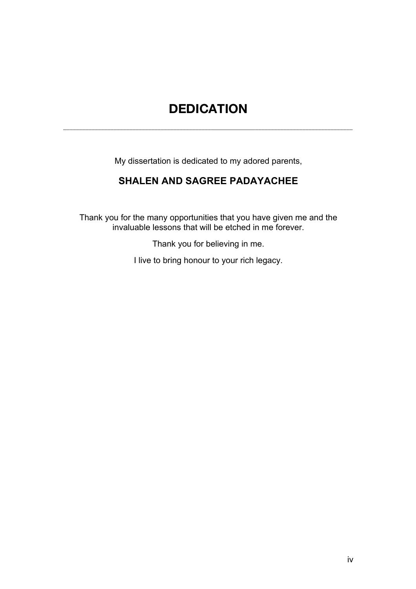# **DEDICATION**

**\_\_\_\_\_\_\_\_\_\_\_\_\_\_\_\_\_\_\_\_\_\_\_\_\_\_\_\_\_\_\_\_\_\_\_\_\_\_\_\_\_\_\_\_\_\_\_\_\_\_\_\_\_\_\_\_\_\_\_\_\_\_\_\_\_\_\_\_\_\_\_\_\_\_\_\_\_\_\_\_\_\_\_\_\_\_\_\_\_\_\_\_**

My dissertation is dedicated to my adored parents,

# **SHALEN AND SAGREE PADAYACHEE**

Thank you for the many opportunities that you have given me and the invaluable lessons that will be etched in me forever.

Thank you for believing in me.

I live to bring honour to your rich legacy.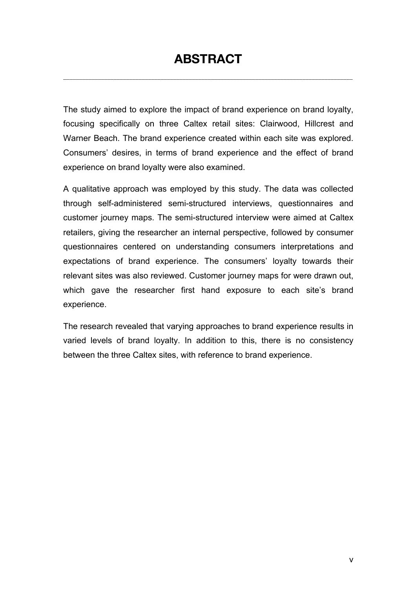# **ABSTRACT**

**\_\_\_\_\_\_\_\_\_\_\_\_\_\_\_\_\_\_\_\_\_\_\_\_\_\_\_\_\_\_\_\_\_\_\_\_\_\_\_\_\_\_\_\_\_\_\_\_\_\_\_\_\_\_\_\_\_\_\_\_\_\_\_\_\_\_\_\_\_\_\_\_\_\_\_\_\_\_\_\_\_\_\_\_\_\_\_\_\_\_\_\_**

The study aimed to explore the impact of brand experience on brand loyalty, focusing specifically on three Caltex retail sites: Clairwood, Hillcrest and Warner Beach. The brand experience created within each site was explored. Consumers' desires, in terms of brand experience and the effect of brand experience on brand loyalty were also examined.

A qualitative approach was employed by this study. The data was collected through self-administered semi-structured interviews, questionnaires and customer journey maps. The semi-structured interview were aimed at Caltex retailers, giving the researcher an internal perspective, followed by consumer questionnaires centered on understanding consumers interpretations and expectations of brand experience. The consumers' loyalty towards their relevant sites was also reviewed. Customer journey maps for were drawn out, which gave the researcher first hand exposure to each site's brand experience.

The research revealed that varying approaches to brand experience results in varied levels of brand loyalty. In addition to this, there is no consistency between the three Caltex sites, with reference to brand experience.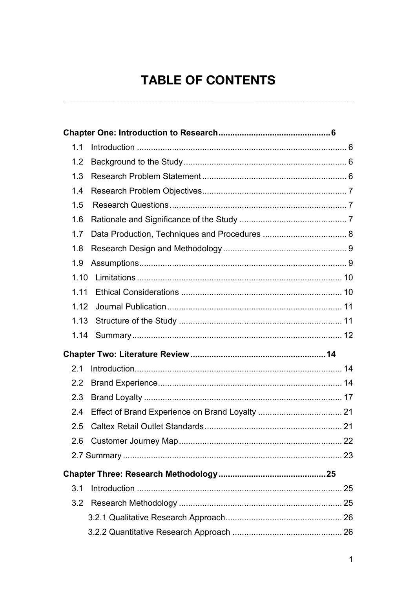# **TABLE OF CONTENTS**

| 1.1              |  |
|------------------|--|
| 1.2              |  |
| 1.3              |  |
| 1.4              |  |
| 1.5              |  |
| 1.6              |  |
| 1.7              |  |
| 1.8              |  |
| 1.9              |  |
| 1.10             |  |
| 1.11             |  |
| 1.12             |  |
| 1.13             |  |
| 1.14             |  |
|                  |  |
| 2.1              |  |
| $2.2\phantom{0}$ |  |
| 2.3              |  |
| 2.4              |  |
| 2.5              |  |
|                  |  |
|                  |  |
|                  |  |
| 3.1              |  |
| 3.2              |  |
|                  |  |
|                  |  |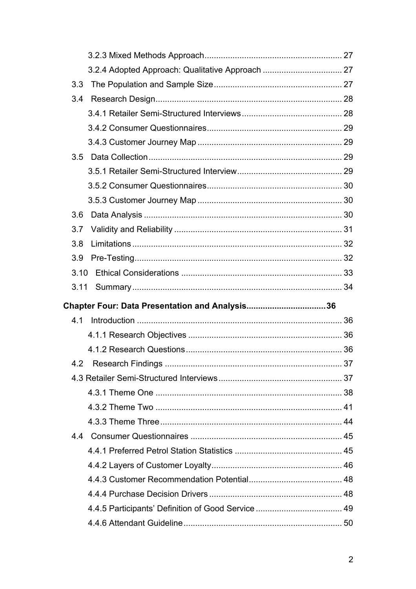| 3.3  |                                                |  |
|------|------------------------------------------------|--|
| 3.4  |                                                |  |
|      |                                                |  |
|      |                                                |  |
|      |                                                |  |
| 3.5  |                                                |  |
|      |                                                |  |
|      |                                                |  |
|      |                                                |  |
| 3.6  |                                                |  |
| 3.7  |                                                |  |
| 3.8  |                                                |  |
| 3.9  |                                                |  |
| 3.10 |                                                |  |
| 3.11 |                                                |  |
|      |                                                |  |
|      | Chapter Four: Data Presentation and Analysis36 |  |
| 4.1  |                                                |  |
|      |                                                |  |
|      |                                                |  |
|      |                                                |  |
|      |                                                |  |
|      |                                                |  |
|      |                                                |  |
|      |                                                |  |
| 44   |                                                |  |
|      |                                                |  |
|      |                                                |  |
|      |                                                |  |
|      |                                                |  |
|      |                                                |  |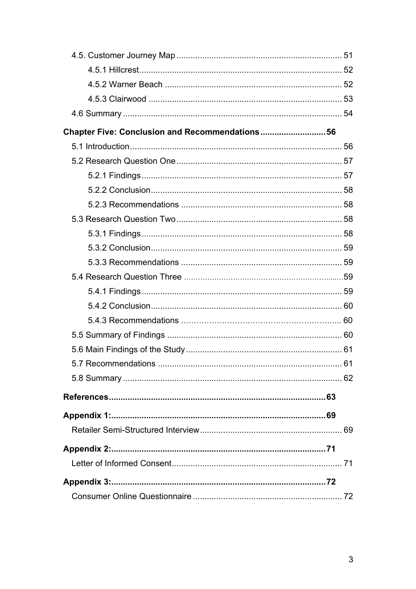| Chapter Five: Conclusion and Recommendations56 |  |
|------------------------------------------------|--|
|                                                |  |
|                                                |  |
|                                                |  |
|                                                |  |
|                                                |  |
|                                                |  |
|                                                |  |
|                                                |  |
|                                                |  |
|                                                |  |
|                                                |  |
|                                                |  |
|                                                |  |
|                                                |  |
|                                                |  |
|                                                |  |
|                                                |  |
|                                                |  |
|                                                |  |
|                                                |  |
|                                                |  |
|                                                |  |
|                                                |  |
|                                                |  |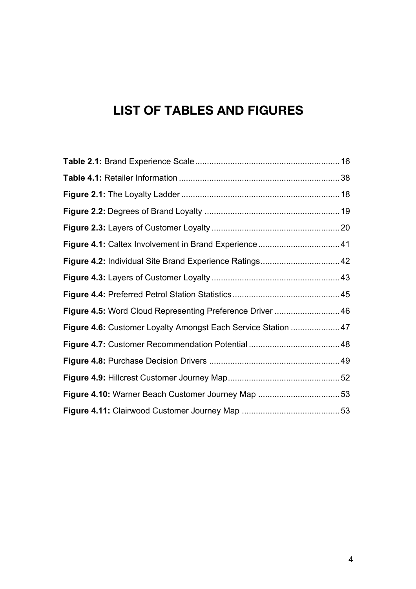# **LIST OF TABLES AND FIGURES**

**\_\_\_\_\_\_\_\_\_\_\_\_\_\_\_\_\_\_\_\_\_\_\_\_\_\_\_\_\_\_\_\_\_\_\_\_\_\_\_\_\_\_\_\_\_\_\_\_\_\_\_\_\_\_\_\_\_\_\_\_\_\_\_\_\_\_\_\_\_\_\_\_\_\_\_\_\_\_\_\_\_\_\_\_\_\_\_\_\_\_\_\_**

| Figure 4.5: Word Cloud Representing Preference Driver  46     |  |
|---------------------------------------------------------------|--|
| Figure 4.6: Customer Loyalty Amongst Each Service Station  47 |  |
|                                                               |  |
|                                                               |  |
|                                                               |  |
|                                                               |  |
|                                                               |  |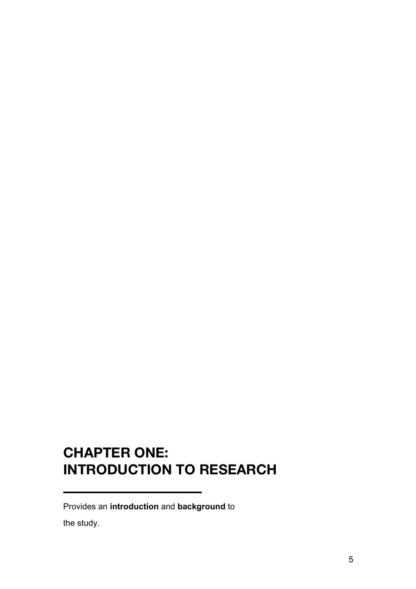# **CHAPTER ONE: INTRODUCTION TO RESEARCH**

Provides an **introduction** and **background** to

the study.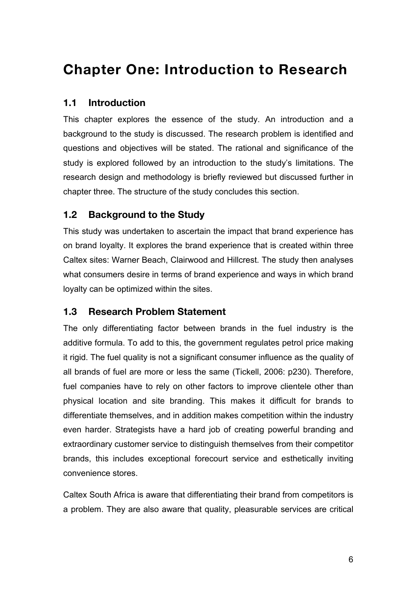# **Chapter One: Introduction to Research**

### **1.1 Introduction**

This chapter explores the essence of the study. An introduction and a background to the study is discussed. The research problem is identified and questions and objectives will be stated. The rational and significance of the study is explored followed by an introduction to the study's limitations. The research design and methodology is briefly reviewed but discussed further in chapter three. The structure of the study concludes this section.

## **1.2 Background to the Study**

This study was undertaken to ascertain the impact that brand experience has on brand loyalty. It explores the brand experience that is created within three Caltex sites: Warner Beach, Clairwood and Hillcrest. The study then analyses what consumers desire in terms of brand experience and ways in which brand loyalty can be optimized within the sites.

## **1.3 Research Problem Statement**

The only differentiating factor between brands in the fuel industry is the additive formula. To add to this, the government regulates petrol price making it rigid. The fuel quality is not a significant consumer influence as the quality of all brands of fuel are more or less the same (Tickell, 2006: p230). Therefore, fuel companies have to rely on other factors to improve clientele other than physical location and site branding. This makes it difficult for brands to differentiate themselves, and in addition makes competition within the industry even harder. Strategists have a hard job of creating powerful branding and extraordinary customer service to distinguish themselves from their competitor brands, this includes exceptional forecourt service and esthetically inviting convenience stores.

Caltex South Africa is aware that differentiating their brand from competitors is a problem. They are also aware that quality, pleasurable services are critical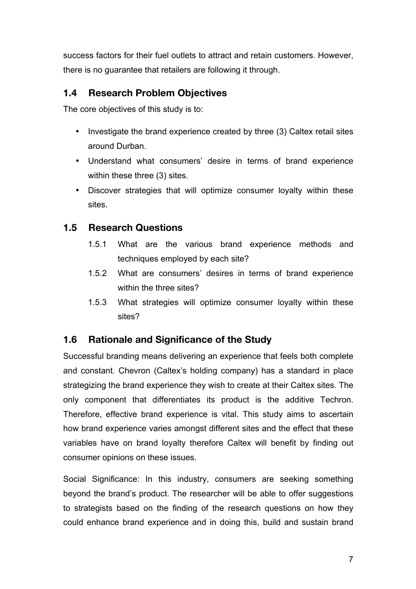success factors for their fuel outlets to attract and retain customers. However, there is no guarantee that retailers are following it through.

# **1.4 Research Problem Objectives**

The core objectives of this study is to:

- Investigate the brand experience created by three (3) Caltex retail sites around Durban.
- Understand what consumers' desire in terms of brand experience within these three (3) sites.
- Discover strategies that will optimize consumer loyalty within these sites.

# **1.5 Research Questions**

- 1.5.1 What are the various brand experience methods and techniques employed by each site?
- 1.5.2 What are consumers' desires in terms of brand experience within the three sites?
- 1.5.3 What strategies will optimize consumer loyalty within these sites?

## **1.6 Rationale and Significance of the Study**

Successful branding means delivering an experience that feels both complete and constant. Chevron (Caltex's holding company) has a standard in place strategizing the brand experience they wish to create at their Caltex sites. The only component that differentiates its product is the additive Techron. Therefore, effective brand experience is vital. This study aims to ascertain how brand experience varies amongst different sites and the effect that these variables have on brand loyalty therefore Caltex will benefit by finding out consumer opinions on these issues.

Social Significance: In this industry, consumers are seeking something beyond the brand's product. The researcher will be able to offer suggestions to strategists based on the finding of the research questions on how they could enhance brand experience and in doing this, build and sustain brand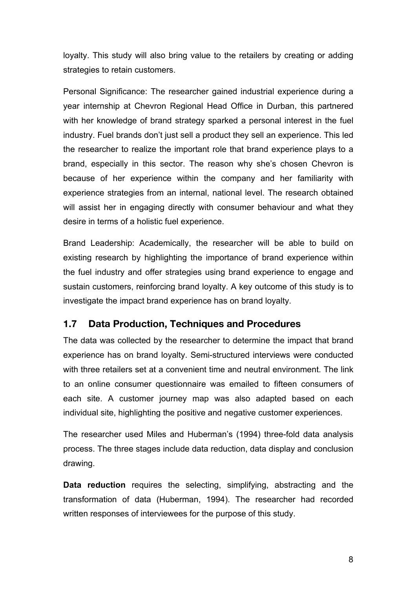loyalty. This study will also bring value to the retailers by creating or adding strategies to retain customers.

Personal Significance: The researcher gained industrial experience during a year internship at Chevron Regional Head Office in Durban, this partnered with her knowledge of brand strategy sparked a personal interest in the fuel industry. Fuel brands don't just sell a product they sell an experience. This led the researcher to realize the important role that brand experience plays to a brand, especially in this sector. The reason why she's chosen Chevron is because of her experience within the company and her familiarity with experience strategies from an internal, national level. The research obtained will assist her in engaging directly with consumer behaviour and what they desire in terms of a holistic fuel experience.

Brand Leadership: Academically, the researcher will be able to build on existing research by highlighting the importance of brand experience within the fuel industry and offer strategies using brand experience to engage and sustain customers, reinforcing brand loyalty. A key outcome of this study is to investigate the impact brand experience has on brand loyalty.

## **1.7 Data Production, Techniques and Procedures**

The data was collected by the researcher to determine the impact that brand experience has on brand loyalty. Semi-structured interviews were conducted with three retailers set at a convenient time and neutral environment. The link to an online consumer questionnaire was emailed to fifteen consumers of each site. A customer journey map was also adapted based on each individual site, highlighting the positive and negative customer experiences.

The researcher used Miles and Huberman's (1994) three-fold data analysis process. The three stages include data reduction, data display and conclusion drawing.

**Data reduction** requires the selecting, simplifying, abstracting and the transformation of data (Huberman, 1994). The researcher had recorded written responses of interviewees for the purpose of this study.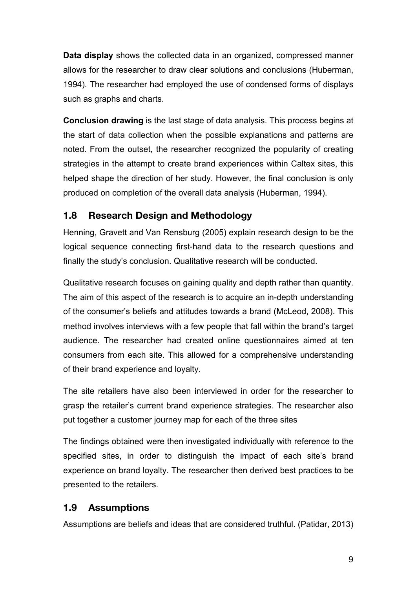**Data display** shows the collected data in an organized, compressed manner allows for the researcher to draw clear solutions and conclusions (Huberman, 1994). The researcher had employed the use of condensed forms of displays such as graphs and charts.

**Conclusion drawing** is the last stage of data analysis. This process begins at the start of data collection when the possible explanations and patterns are noted. From the outset, the researcher recognized the popularity of creating strategies in the attempt to create brand experiences within Caltex sites, this helped shape the direction of her study. However, the final conclusion is only produced on completion of the overall data analysis (Huberman, 1994).

# **1.8 Research Design and Methodology**

Henning, Gravett and Van Rensburg (2005) explain research design to be the logical sequence connecting first-hand data to the research questions and finally the study's conclusion. Qualitative research will be conducted.

Qualitative research focuses on gaining quality and depth rather than quantity. The aim of this aspect of the research is to acquire an in-depth understanding of the consumer's beliefs and attitudes towards a brand (McLeod, 2008). This method involves interviews with a few people that fall within the brand's target audience. The researcher had created online questionnaires aimed at ten consumers from each site. This allowed for a comprehensive understanding of their brand experience and loyalty.

The site retailers have also been interviewed in order for the researcher to grasp the retailer's current brand experience strategies. The researcher also put together a customer journey map for each of the three sites

The findings obtained were then investigated individually with reference to the specified sites, in order to distinguish the impact of each site's brand experience on brand loyalty. The researcher then derived best practices to be presented to the retailers.

## **1.9 Assumptions**

Assumptions are beliefs and ideas that are considered truthful. (Patidar, 2013)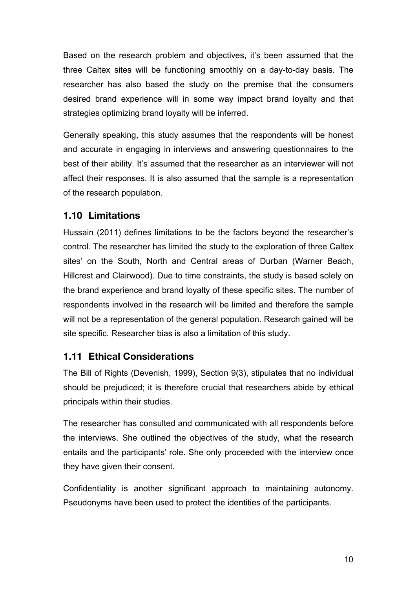Based on the research problem and objectives, it's been assumed that the three Caltex sites will be functioning smoothly on a day-to-day basis. The researcher has also based the study on the premise that the consumers desired brand experience will in some way impact brand loyalty and that strategies optimizing brand loyalty will be inferred.

Generally speaking, this study assumes that the respondents will be honest and accurate in engaging in interviews and answering questionnaires to the best of their ability. It's assumed that the researcher as an interviewer will not affect their responses. It is also assumed that the sample is a representation of the research population.

# **1.10 Limitations**

Hussain (2011) defines limitations to be the factors beyond the researcher's control. The researcher has limited the study to the exploration of three Caltex sites' on the South, North and Central areas of Durban (Warner Beach, Hillcrest and Clairwood). Due to time constraints, the study is based solely on the brand experience and brand loyalty of these specific sites. The number of respondents involved in the research will be limited and therefore the sample will not be a representation of the general population. Research gained will be site specific. Researcher bias is also a limitation of this study.

#### **1.11 Ethical Considerations**

The Bill of Rights (Devenish, 1999), Section 9(3), stipulates that no individual should be prejudiced; it is therefore crucial that researchers abide by ethical principals within their studies.

The researcher has consulted and communicated with all respondents before the interviews. She outlined the objectives of the study, what the research entails and the participants' role. She only proceeded with the interview once they have given their consent.

Confidentiality is another significant approach to maintaining autonomy. Pseudonyms have been used to protect the identities of the participants.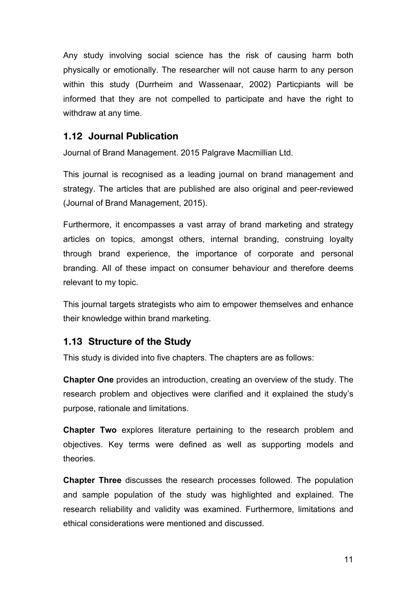Any study involving social science has the risk of causing harm both physically or emotionally. The researcher will not cause harm to any person within this study (Durrheim and Wassenaar, 2002) Particpiants will be informed that they are not compelled to participate and have the right to withdraw at any time.

### **1.12 Journal Publication**

Journal of Brand Management. 2015 Palgrave Macmillian Ltd.

This journal is recognised as a leading journal on brand management and strategy. The articles that are published are also original and peer-reviewed (Journal of Brand Management, 2015).

Furthermore, it encompasses a vast array of brand marketing and strategy articles on topics, amongst others, internal branding, construing loyalty through brand experience, the importance of corporate and personal branding. All of these impact on consumer behaviour and therefore deems relevant to my topic.

This journal targets strategists who aim to empower themselves and enhance their knowledge within brand marketing.

#### **1.13 Structure of the Study**

This study is divided into five chapters. The chapters are as follows:

**Chapter One** provides an introduction, creating an overview of the study. The research problem and objectives were clarified and it explained the study's purpose, rationale and limitations.

**Chapter Two** explores literature pertaining to the research problem and objectives. Key terms were defined as well as supporting models and theories.

**Chapter Three** discusses the research processes followed. The population and sample population of the study was highlighted and explained. The research reliability and validity was examined. Furthermore, limitations and ethical considerations were mentioned and discussed.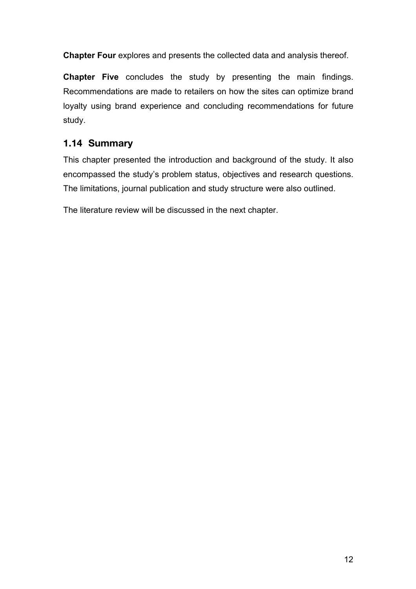**Chapter Four** explores and presents the collected data and analysis thereof.

**Chapter Five** concludes the study by presenting the main findings. Recommendations are made to retailers on how the sites can optimize brand loyalty using brand experience and concluding recommendations for future study.

# **1.14 Summary**

This chapter presented the introduction and background of the study. It also encompassed the study's problem status, objectives and research questions. The limitations, journal publication and study structure were also outlined.

The literature review will be discussed in the next chapter.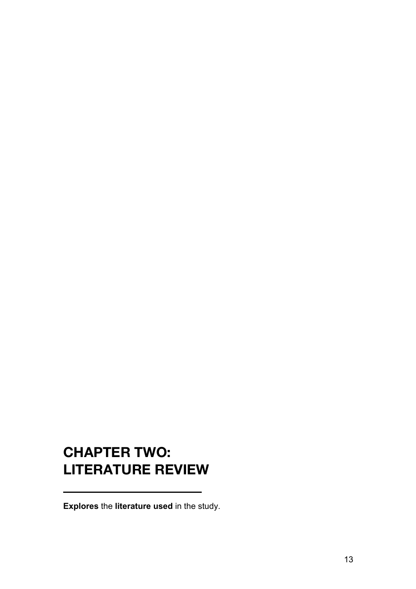# **CHAPTER TWO: LITERATURE REVIEW**

**Explores** the **literature used** in the study.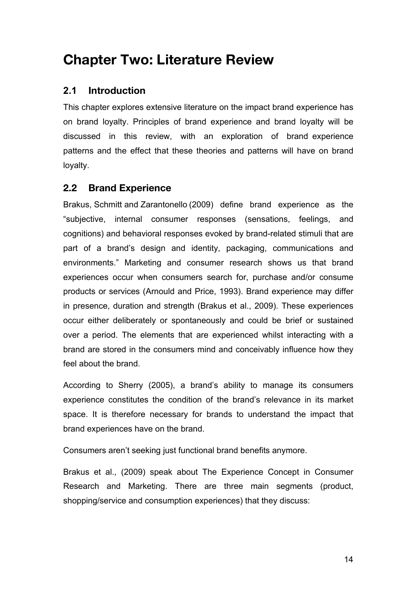# **Chapter Two: Literature Review**

# **2.1 Introduction**

This chapter explores extensive literature on the impact brand experience has on brand loyalty. Principles of brand experience and brand loyalty will be discussed in this review, with an exploration of brand experience patterns and the effect that these theories and patterns will have on brand loyalty.

## **2.2 Brand Experience**

Brakus, Schmitt and Zarantonello (2009) define brand experience as the "subjective, internal consumer responses (sensations, feelings, and cognitions) and behavioral responses evoked by brand-related stimuli that are part of a brand's design and identity, packaging, communications and environments." Marketing and consumer research shows us that brand experiences occur when consumers search for, purchase and/or consume products or services (Arnould and Price, 1993). Brand experience may differ in presence, duration and strength (Brakus et al., 2009). These experiences occur either deliberately or spontaneously and could be brief or sustained over a period. The elements that are experienced whilst interacting with a brand are stored in the consumers mind and conceivably influence how they feel about the brand.

According to Sherry (2005), a brand's ability to manage its consumers experience constitutes the condition of the brand's relevance in its market space. It is therefore necessary for brands to understand the impact that brand experiences have on the brand.

Consumers aren't seeking just functional brand benefits anymore.

Brakus et al., (2009) speak about The Experience Concept in Consumer Research and Marketing. There are three main segments (product, shopping/service and consumption experiences) that they discuss: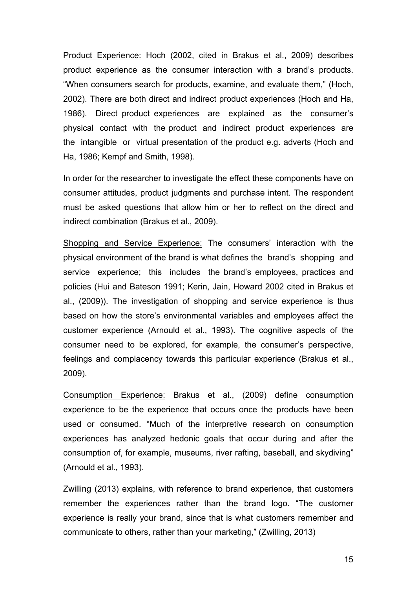Product Experience: Hoch (2002, cited in Brakus et al., 2009) describes product experience as the consumer interaction with a brand's products. "When consumers search for products, examine, and evaluate them," (Hoch, 2002). There are both direct and indirect product experiences (Hoch and Ha, 1986). Direct product experiences are explained as the consumer's physical contact with the product and indirect product experiences are the intangible or virtual presentation of the product e.g. adverts (Hoch and Ha, 1986; Kempf and Smith, 1998).

In order for the researcher to investigate the effect these components have on consumer attitudes, product judgments and purchase intent. The respondent must be asked questions that allow him or her to reflect on the direct and indirect combination (Brakus et al., 2009).

Shopping and Service Experience: The consumers' interaction with the physical environment of the brand is what defines the brand's shopping and service experience; this includes the brand's employees, practices and policies (Hui and Bateson 1991; Kerin, Jain, Howard 2002 cited in Brakus et al., (2009)). The investigation of shopping and service experience is thus based on how the store's environmental variables and employees affect the customer experience (Arnould et al., 1993). The cognitive aspects of the consumer need to be explored, for example, the consumer's perspective, feelings and complacency towards this particular experience (Brakus et al., 2009).

Consumption Experience: Brakus et al., (2009) define consumption experience to be the experience that occurs once the products have been used or consumed. "Much of the interpretive research on consumption experiences has analyzed hedonic goals that occur during and after the consumption of, for example, museums, river rafting, baseball, and skydiving" (Arnould et al., 1993).

Zwilling (2013) explains, with reference to brand experience, that customers remember the experiences rather than the brand logo. "The customer experience is really your brand, since that is what customers remember and communicate to others, rather than your marketing," (Zwilling, 2013)

15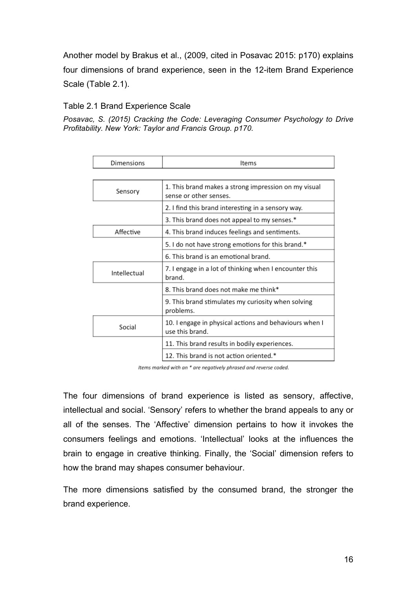Another model by Brakus et al., (2009, cited in Posavac 2015: p170) explains four dimensions of brand experience, seen in the 12-item Brand Experience Scale (Table 2.1).

#### Table 2.1 Brand Experience Scale

*Posavac, S. (2015) Cracking the Code: Leveraging Consumer Psychology to Drive Profitability. New York: Taylor and Francis Group. p170.*

| Dimensions   | Items                                                                          |
|--------------|--------------------------------------------------------------------------------|
|              |                                                                                |
| Sensory      | 1. This brand makes a strong impression on my visual<br>sense or other senses. |
|              | 2. I find this brand interesting in a sensory way.                             |
|              | 3. This brand does not appeal to my senses.*                                   |
| Affective    | 4. This brand induces feelings and sentiments.                                 |
|              | 5. I do not have strong emotions for this brand.*                              |
|              | 6. This brand is an emotional brand.                                           |
| Intellectual | 7. I engage in a lot of thinking when I encounter this<br>brand.               |
|              | 8. This brand does not make me think*                                          |
|              | 9. This brand stimulates my curiosity when solving<br>problems.                |
| Social       | 10. I engage in physical actions and behaviours when I<br>use this brand.      |
|              | 11. This brand results in bodily experiences.                                  |
|              | 12. This brand is not action oriented.*                                        |

Items marked with an \* are negatively phrased and reverse coded.

The four dimensions of brand experience is listed as sensory, affective, intellectual and social. 'Sensory' refers to whether the brand appeals to any or all of the senses. The 'Affective' dimension pertains to how it invokes the consumers feelings and emotions. 'Intellectual' looks at the influences the brain to engage in creative thinking. Finally, the 'Social' dimension refers to how the brand may shapes consumer behaviour.

The more dimensions satisfied by the consumed brand, the stronger the brand experience.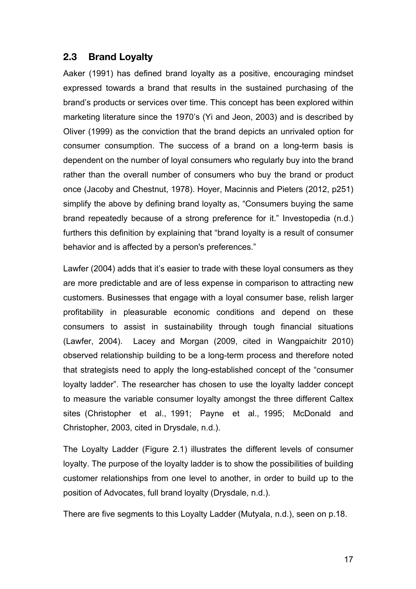#### **2.3 Brand Loyalty**

Aaker (1991) has defined brand loyalty as a positive, encouraging mindset expressed towards a brand that results in the sustained purchasing of the brand's products or services over time. This concept has been explored within marketing literature since the 1970's (Yi and Jeon, 2003) and is described by Oliver (1999) as the conviction that the brand depicts an unrivaled option for consumer consumption. The success of a brand on a long-term basis is dependent on the number of loyal consumers who regularly buy into the brand rather than the overall number of consumers who buy the brand or product once (Jacoby and Chestnut, 1978). Hoyer, Macinnis and Pieters (2012, p251) simplify the above by defining brand loyalty as, "Consumers buying the same brand repeatedly because of a strong preference for it." Investopedia (n.d.) furthers this definition by explaining that "brand loyalty is a result of consumer behavior and is affected by a person's preferences."

Lawfer (2004) adds that it's easier to trade with these loyal consumers as they are more predictable and are of less expense in comparison to attracting new customers. Businesses that engage with a loyal consumer base, relish larger profitability in pleasurable economic conditions and depend on these consumers to assist in sustainability through tough financial situations (Lawfer, 2004). Lacey and Morgan (2009, cited in Wangpaichitr 2010) observed relationship building to be a long-term process and therefore noted that strategists need to apply the long-established concept of the "consumer loyalty ladder". The researcher has chosen to use the loyalty ladder concept to measure the variable consumer loyalty amongst the three different Caltex sites (Christopher et al., 1991; Payne et al., 1995; McDonald and Christopher, 2003, cited in Drysdale, n.d.).

The Loyalty Ladder (Figure 2.1) illustrates the different levels of consumer loyalty. The purpose of the loyalty ladder is to show the possibilities of building customer relationships from one level to another, in order to build up to the position of Advocates, full brand loyalty (Drysdale, n.d.).

There are five segments to this Loyalty Ladder (Mutyala, n.d.), seen on p.18.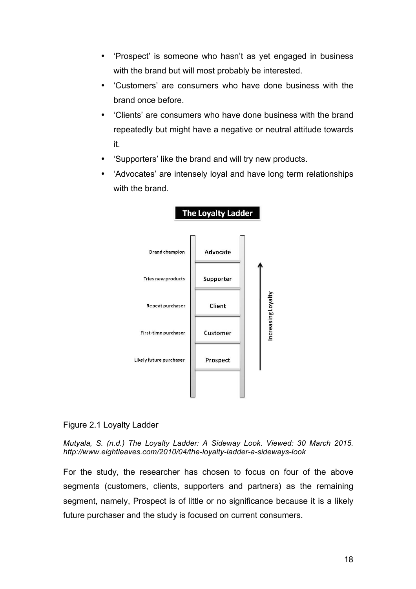- 'Prospect' is someone who hasn't as yet engaged in business with the brand but will most probably be interested.
- 'Customers' are consumers who have done business with the brand once before.
- 'Clients' are consumers who have done business with the brand repeatedly but might have a negative or neutral attitude towards it.
- 'Supporters' like the brand and will try new products.
- 'Advocates' are intensely loyal and have long term relationships with the brand



#### **The Loyalty Ladder**

#### Figure 2.1 Loyalty Ladder

*Mutyala, S. (n.d.) The Loyalty Ladder: A Sideway Look. Viewed: 30 March 2015. http://www.eightleaves.com/2010/04/the-loyalty-ladder-a-sideways-look*

For the study, the researcher has chosen to focus on four of the above segments (customers, clients, supporters and partners) as the remaining segment, namely, Prospect is of little or no significance because it is a likely future purchaser and the study is focused on current consumers.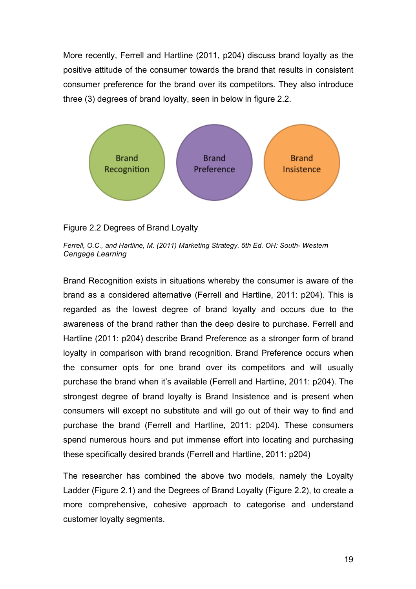More recently, Ferrell and Hartline (2011, p204) discuss brand loyalty as the positive attitude of the consumer towards the brand that results in consistent consumer preference for the brand over its competitors. They also introduce three (3) degrees of brand loyalty, seen in below in figure 2.2.



#### Figure 2.2 Degrees of Brand Loyalty

*Ferrell, O.C., and Hartline, M. (2011) Marketing Strategy. 5th Ed. OH: South- Western Cengage Learning*

Brand Recognition exists in situations whereby the consumer is aware of the brand as a considered alternative (Ferrell and Hartline, 2011: p204). This is regarded as the lowest degree of brand loyalty and occurs due to the awareness of the brand rather than the deep desire to purchase. Ferrell and Hartline (2011: p204) describe Brand Preference as a stronger form of brand loyalty in comparison with brand recognition. Brand Preference occurs when the consumer opts for one brand over its competitors and will usually purchase the brand when it's available (Ferrell and Hartline, 2011: p204). The strongest degree of brand loyalty is Brand Insistence and is present when consumers will except no substitute and will go out of their way to find and purchase the brand (Ferrell and Hartline, 2011: p204). These consumers spend numerous hours and put immense effort into locating and purchasing these specifically desired brands (Ferrell and Hartline, 2011: p204)

The researcher has combined the above two models, namely the Loyalty Ladder (Figure 2.1) and the Degrees of Brand Loyalty (Figure 2.2), to create a more comprehensive, cohesive approach to categorise and understand customer loyalty segments.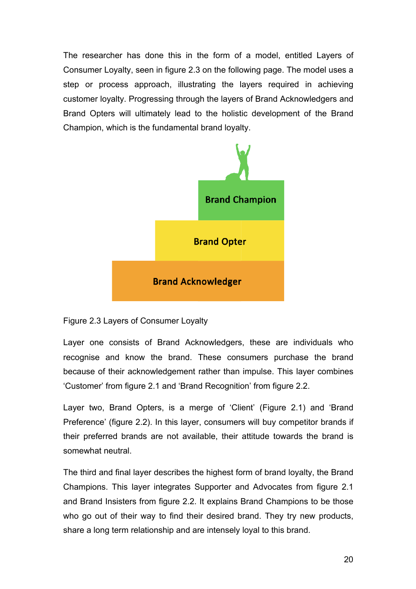The researcher has done this in the form of a model, entitled Layers of Consumer Loyalty, seen in figure 2.3 on the following page. The model uses a step or process approach, illustrating the layers required in achieving customer loyalty. Progressing through the layers of Brand Acknowledgers and Brand Opters will ultimately lead to the holistic development of the Brand Champion, which is the fundamental brand loyalty.



Figure 2.3 Layers of Consumer Loyalty

Layer one consists of Brand Acknowledgers, these are individuals who recognise and know the brand. These consumers purchase the brand because of their acknowledgement rather than impulse. This layer combines 'Customer' from figure 2.1 and 'Brand Recognition' from figure 2.2.

Layer two, Brand Opters, is a merge of 'Client' (Figure 2.1) and 'Brand Preference' (figure 2.2). In this layer, consumers will buy competitor brands if their preferred brands are not available, their attitude towards the brand is somewhat neutral.

The third and final layer describes the highest form of brand loyalty, the Brand Champions. This layer integrates Supporter and Advocates from figure 2.1 and Brand Insisters from figure 2.2. It explains Brand Champions to be those who go out of their way to find their desired brand. They try new products, share a long term relationship and are intensely loyal to this brand.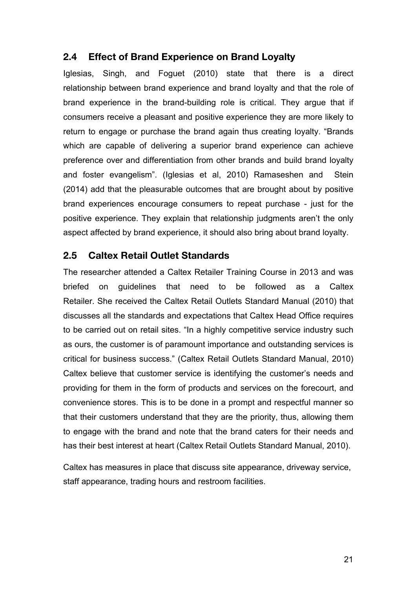## **2.4 Effect of Brand Experience on Brand Loyalty**

Iglesias, Singh, and Foguet (2010) state that there is a direct relationship between brand experience and brand loyalty and that the role of brand experience in the brand-building role is critical. They argue that if consumers receive a pleasant and positive experience they are more likely to return to engage or purchase the brand again thus creating loyalty. "Brands which are capable of delivering a superior brand experience can achieve preference over and differentiation from other brands and build brand loyalty and foster evangelism". (Iglesias et al, 2010) Ramaseshen and Stein (2014) add that the pleasurable outcomes that are brought about by positive brand experiences encourage consumers to repeat purchase - just for the positive experience. They explain that relationship judgments aren't the only aspect affected by brand experience, it should also bring about brand loyalty.

#### **2.5 Caltex Retail Outlet Standards**

The researcher attended a Caltex Retailer Training Course in 2013 and was briefed on guidelines that need to be followed as a Caltex Retailer. She received the Caltex Retail Outlets Standard Manual (2010) that discusses all the standards and expectations that Caltex Head Office requires to be carried out on retail sites. "In a highly competitive service industry such as ours, the customer is of paramount importance and outstanding services is critical for business success." (Caltex Retail Outlets Standard Manual, 2010) Caltex believe that customer service is identifying the customer's needs and providing for them in the form of products and services on the forecourt, and convenience stores. This is to be done in a prompt and respectful manner so that their customers understand that they are the priority, thus, allowing them to engage with the brand and note that the brand caters for their needs and has their best interest at heart (Caltex Retail Outlets Standard Manual, 2010).

Caltex has measures in place that discuss site appearance, driveway service, staff appearance, trading hours and restroom facilities.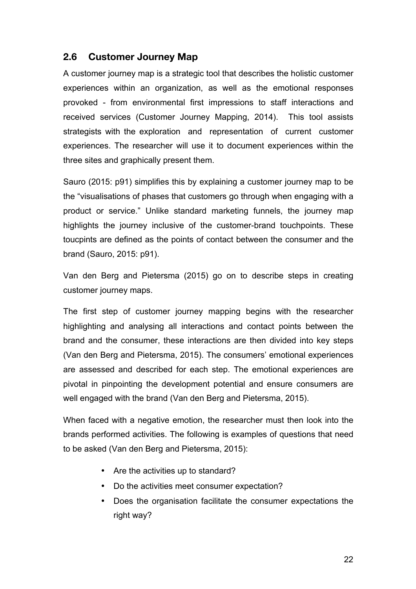## **2.6 Customer Journey Map**

A customer journey map is a strategic tool that describes the holistic customer experiences within an organization, as well as the emotional responses provoked - from environmental first impressions to staff interactions and received services (Customer Journey Mapping, 2014). This tool assists strategists with the exploration and representation of current customer experiences. The researcher will use it to document experiences within the three sites and graphically present them.

Sauro (2015: p91) simplifies this by explaining a customer journey map to be the "visualisations of phases that customers go through when engaging with a product or service." Unlike standard marketing funnels, the journey map highlights the journey inclusive of the customer-brand touchpoints. These toucpints are defined as the points of contact between the consumer and the brand (Sauro, 2015: p91).

Van den Berg and Pietersma (2015) go on to describe steps in creating customer journey maps.

The first step of customer journey mapping begins with the researcher highlighting and analysing all interactions and contact points between the brand and the consumer, these interactions are then divided into key steps (Van den Berg and Pietersma, 2015). The consumers' emotional experiences are assessed and described for each step. The emotional experiences are pivotal in pinpointing the development potential and ensure consumers are well engaged with the brand (Van den Berg and Pietersma, 2015).

When faced with a negative emotion, the researcher must then look into the brands performed activities. The following is examples of questions that need to be asked (Van den Berg and Pietersma, 2015):

- Are the activities up to standard?
- Do the activities meet consumer expectation?
- Does the organisation facilitate the consumer expectations the right way?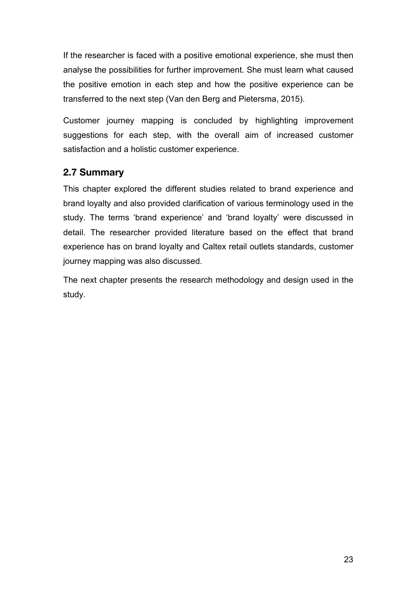If the researcher is faced with a positive emotional experience, she must then analyse the possibilities for further improvement. She must learn what caused the positive emotion in each step and how the positive experience can be transferred to the next step (Van den Berg and Pietersma, 2015).

Customer journey mapping is concluded by highlighting improvement suggestions for each step, with the overall aim of increased customer satisfaction and a holistic customer experience.

# **2.7 Summary**

This chapter explored the different studies related to brand experience and brand loyalty and also provided clarification of various terminology used in the study. The terms 'brand experience' and 'brand loyalty' were discussed in detail. The researcher provided literature based on the effect that brand experience has on brand loyalty and Caltex retail outlets standards, customer journey mapping was also discussed.

The next chapter presents the research methodology and design used in the study.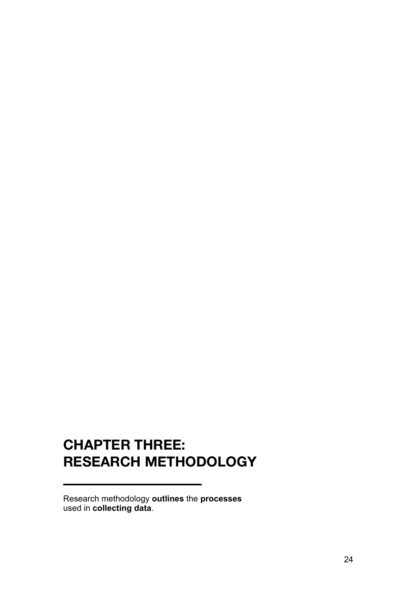# **CHAPTER THREE: RESEARCH METHODOLOGY**

Research methodology **outlines** the **processes**  used in **collecting data**.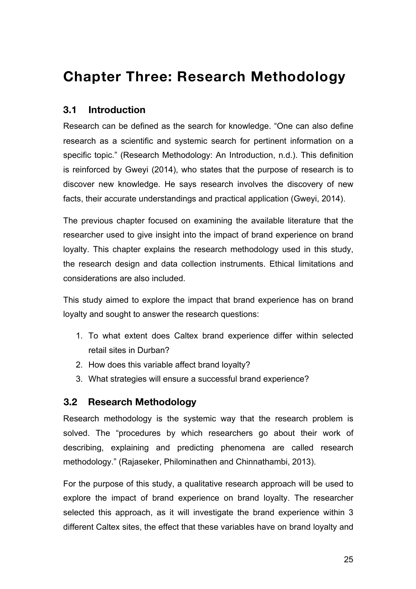# **Chapter Three: Research Methodology**

# **3.1 Introduction**

Research can be defined as the search for knowledge. "One can also define research as a scientific and systemic search for pertinent information on a specific topic." (Research Methodology: An Introduction, n.d.). This definition is reinforced by Gweyi (2014), who states that the purpose of research is to discover new knowledge. He says research involves the discovery of new facts, their accurate understandings and practical application (Gweyi, 2014).

The previous chapter focused on examining the available literature that the researcher used to give insight into the impact of brand experience on brand loyalty. This chapter explains the research methodology used in this study, the research design and data collection instruments. Ethical limitations and considerations are also included.

This study aimed to explore the impact that brand experience has on brand loyalty and sought to answer the research questions:

- 1. To what extent does Caltex brand experience differ within selected retail sites in Durban?
- 2. How does this variable affect brand loyalty?
- 3. What strategies will ensure a successful brand experience?

## **3.2 Research Methodology**

Research methodology is the systemic way that the research problem is solved. The "procedures by which researchers go about their work of describing, explaining and predicting phenomena are called research methodology." (Rajaseker, Philominathen and Chinnathambi, 2013).

For the purpose of this study, a qualitative research approach will be used to explore the impact of brand experience on brand loyalty. The researcher selected this approach, as it will investigate the brand experience within 3 different Caltex sites, the effect that these variables have on brand loyalty and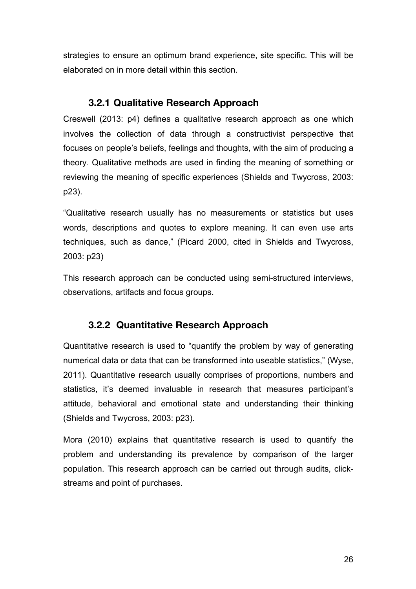strategies to ensure an optimum brand experience, site specific. This will be elaborated on in more detail within this section.

### **3.2.1 Qualitative Research Approach**

Creswell (2013: p4) defines a qualitative research approach as one which involves the collection of data through a constructivist perspective that focuses on people's beliefs, feelings and thoughts, with the aim of producing a theory. Qualitative methods are used in finding the meaning of something or reviewing the meaning of specific experiences (Shields and Twycross, 2003: p23).

"Qualitative research usually has no measurements or statistics but uses words, descriptions and quotes to explore meaning. It can even use arts techniques, such as dance," (Picard 2000, cited in Shields and Twycross, 2003: p23)

This research approach can be conducted using semi-structured interviews, observations, artifacts and focus groups.

# **3.2.2 Quantitative Research Approach**

Quantitative research is used to "quantify the problem by way of generating numerical data or data that can be transformed into useable statistics," (Wyse, 2011). Quantitative research usually comprises of proportions, numbers and statistics, it's deemed invaluable in research that measures participant's attitude, behavioral and emotional state and understanding their thinking (Shields and Twycross, 2003: p23).

Mora (2010) explains that quantitative research is used to quantify the problem and understanding its prevalence by comparison of the larger population. This research approach can be carried out through audits, clickstreams and point of purchases.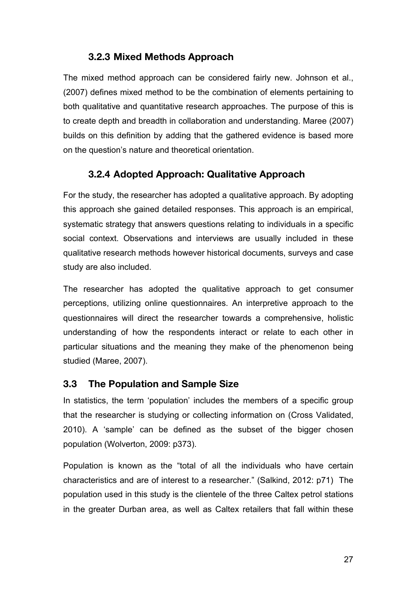# **3.2.3 Mixed Methods Approach**

The mixed method approach can be considered fairly new. Johnson et al., (2007) defines mixed method to be the combination of elements pertaining to both qualitative and quantitative research approaches. The purpose of this is to create depth and breadth in collaboration and understanding. Maree (2007) builds on this definition by adding that the gathered evidence is based more on the question's nature and theoretical orientation.

## **3.2.4 Adopted Approach: Qualitative Approach**

For the study, the researcher has adopted a qualitative approach. By adopting this approach she gained detailed responses. This approach is an empirical, systematic strategy that answers questions relating to individuals in a specific social context. Observations and interviews are usually included in these qualitative research methods however historical documents, surveys and case study are also included.

The researcher has adopted the qualitative approach to get consumer perceptions, utilizing online questionnaires. An interpretive approach to the questionnaires will direct the researcher towards a comprehensive, holistic understanding of how the respondents interact or relate to each other in particular situations and the meaning they make of the phenomenon being studied (Maree, 2007).

## **3.3 The Population and Sample Size**

In statistics, the term 'population' includes the members of a specific group that the researcher is studying or collecting information on (Cross Validated, 2010). A 'sample' can be defined as the subset of the bigger chosen population (Wolverton, 2009: p373).

Population is known as the "total of all the individuals who have certain characteristics and are of interest to a researcher." (Salkind, 2012: p71) The population used in this study is the clientele of the three Caltex petrol stations in the greater Durban area, as well as Caltex retailers that fall within these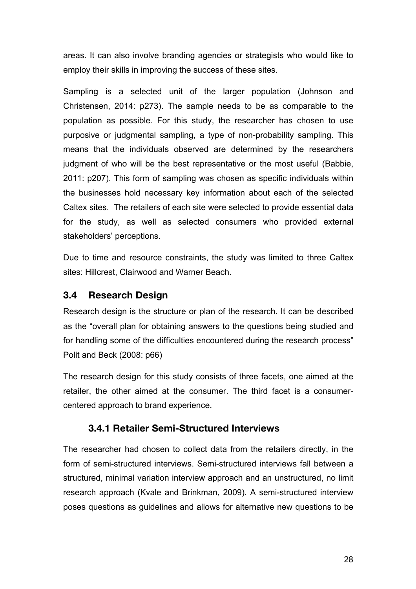areas. It can also involve branding agencies or strategists who would like to employ their skills in improving the success of these sites.

Sampling is a selected unit of the larger population (Johnson and Christensen, 2014: p273). The sample needs to be as comparable to the population as possible. For this study, the researcher has chosen to use purposive or judgmental sampling, a type of non-probability sampling. This means that the individuals observed are determined by the researchers judgment of who will be the best representative or the most useful (Babbie, 2011: p207). This form of sampling was chosen as specific individuals within the businesses hold necessary key information about each of the selected Caltex sites. The retailers of each site were selected to provide essential data for the study, as well as selected consumers who provided external stakeholders' perceptions.

Due to time and resource constraints, the study was limited to three Caltex sites: Hillcrest, Clairwood and Warner Beach.

#### **3.4 Research Design**

Research design is the structure or plan of the research. It can be described as the "overall plan for obtaining answers to the questions being studied and for handling some of the difficulties encountered during the research process" Polit and Beck (2008: p66)

The research design for this study consists of three facets, one aimed at the retailer, the other aimed at the consumer. The third facet is a consumercentered approach to brand experience.

## **3.4.1 Retailer Semi-Structured Interviews**

The researcher had chosen to collect data from the retailers directly, in the form of semi-structured interviews. Semi-structured interviews fall between a structured, minimal variation interview approach and an unstructured, no limit research approach (Kvale and Brinkman, 2009). A semi-structured interview poses questions as guidelines and allows for alternative new questions to be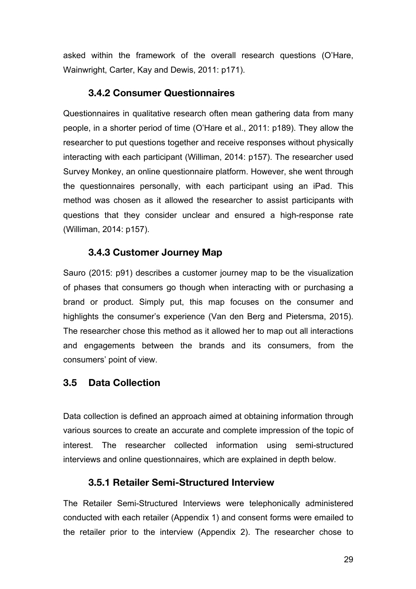asked within the framework of the overall research questions (O'Hare, Wainwright, Carter, Kay and Dewis, 2011: p171).

### **3.4.2 Consumer Questionnaires**

Questionnaires in qualitative research often mean gathering data from many people, in a shorter period of time (O'Hare et al., 2011: p189). They allow the researcher to put questions together and receive responses without physically interacting with each participant (Williman, 2014: p157). The researcher used Survey Monkey, an online questionnaire platform. However, she went through the questionnaires personally, with each participant using an iPad. This method was chosen as it allowed the researcher to assist participants with questions that they consider unclear and ensured a high-response rate (Williman, 2014: p157).

# **3.4.3 Customer Journey Map**

Sauro (2015: p91) describes a customer journey map to be the visualization of phases that consumers go though when interacting with or purchasing a brand or product. Simply put, this map focuses on the consumer and highlights the consumer's experience (Van den Berg and Pietersma, 2015). The researcher chose this method as it allowed her to map out all interactions and engagements between the brands and its consumers, from the consumers' point of view.

## **3.5 Data Collection**

Data collection is defined an approach aimed at obtaining information through various sources to create an accurate and complete impression of the topic of interest. The researcher collected information using semi-structured interviews and online questionnaires, which are explained in depth below.

## **3.5.1 Retailer Semi-Structured Interview**

The Retailer Semi-Structured Interviews were telephonically administered conducted with each retailer (Appendix 1) and consent forms were emailed to the retailer prior to the interview (Appendix 2). The researcher chose to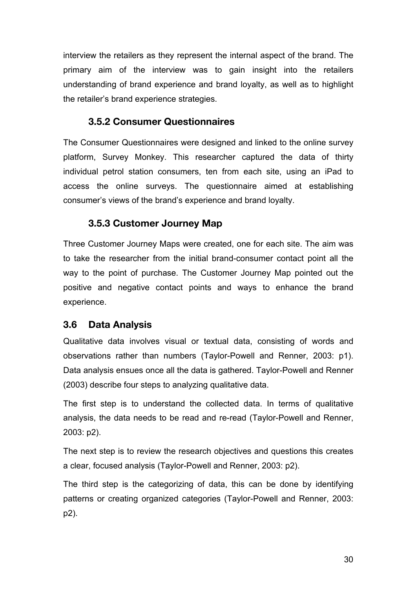interview the retailers as they represent the internal aspect of the brand. The primary aim of the interview was to gain insight into the retailers understanding of brand experience and brand loyalty, as well as to highlight the retailer's brand experience strategies.

### **3.5.2 Consumer Questionnaires**

The Consumer Questionnaires were designed and linked to the online survey platform, Survey Monkey. This researcher captured the data of thirty individual petrol station consumers, ten from each site, using an iPad to access the online surveys. The questionnaire aimed at establishing consumer's views of the brand's experience and brand loyalty.

## **3.5.3 Customer Journey Map**

Three Customer Journey Maps were created, one for each site. The aim was to take the researcher from the initial brand-consumer contact point all the way to the point of purchase. The Customer Journey Map pointed out the positive and negative contact points and ways to enhance the brand experience.

## **3.6 Data Analysis**

Qualitative data involves visual or textual data, consisting of words and observations rather than numbers (Taylor-Powell and Renner, 2003: p1). Data analysis ensues once all the data is gathered. Taylor-Powell and Renner (2003) describe four steps to analyzing qualitative data.

The first step is to understand the collected data. In terms of qualitative analysis, the data needs to be read and re-read (Taylor-Powell and Renner, 2003: p2).

The next step is to review the research objectives and questions this creates a clear, focused analysis (Taylor-Powell and Renner, 2003: p2).

The third step is the categorizing of data, this can be done by identifying patterns or creating organized categories (Taylor-Powell and Renner, 2003: p2).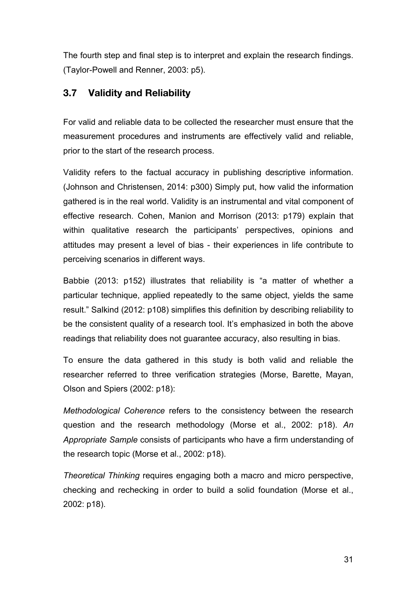The fourth step and final step is to interpret and explain the research findings. (Taylor-Powell and Renner, 2003: p5).

# **3.7 Validity and Reliability**

For valid and reliable data to be collected the researcher must ensure that the measurement procedures and instruments are effectively valid and reliable, prior to the start of the research process.

Validity refers to the factual accuracy in publishing descriptive information. (Johnson and Christensen, 2014: p300) Simply put, how valid the information gathered is in the real world. Validity is an instrumental and vital component of effective research. Cohen, Manion and Morrison (2013: p179) explain that within qualitative research the participants' perspectives, opinions and attitudes may present a level of bias - their experiences in life contribute to perceiving scenarios in different ways.

Babbie (2013: p152) illustrates that reliability is "a matter of whether a particular technique, applied repeatedly to the same object, yields the same result." Salkind (2012: p108) simplifies this definition by describing reliability to be the consistent quality of a research tool. It's emphasized in both the above readings that reliability does not guarantee accuracy, also resulting in bias.

To ensure the data gathered in this study is both valid and reliable the researcher referred to three verification strategies (Morse, Barette, Mayan, Olson and Spiers (2002: p18):

*Methodological Coherence* refers to the consistency between the research question and the research methodology (Morse et al., 2002: p18). *An Appropriate Sample* consists of participants who have a firm understanding of the research topic (Morse et al., 2002: p18).

*Theoretical Thinking* requires engaging both a macro and micro perspective, checking and rechecking in order to build a solid foundation (Morse et al., 2002: p18).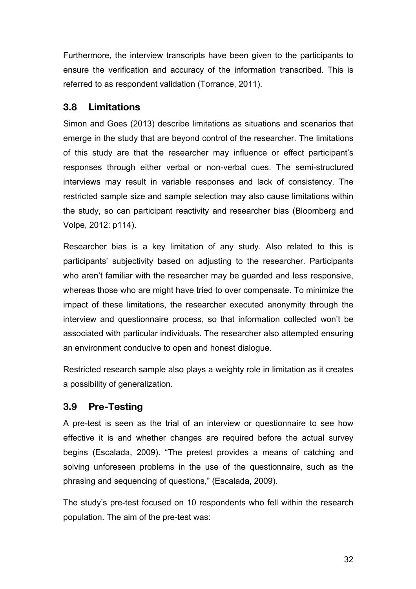Furthermore, the interview transcripts have been given to the participants to ensure the verification and accuracy of the information transcribed. This is referred to as respondent validation (Torrance, 2011).

#### **3.8 Limitations**

Simon and Goes (2013) describe limitations as situations and scenarios that emerge in the study that are beyond control of the researcher. The limitations of this study are that the researcher may influence or effect participant's responses through either verbal or non-verbal cues. The semi-structured interviews may result in variable responses and lack of consistency. The restricted sample size and sample selection may also cause limitations within the study, so can participant reactivity and researcher bias (Bloomberg and Volpe, 2012: p114).

Researcher bias is a key limitation of any study. Also related to this is participants' subjectivity based on adjusting to the researcher. Participants who aren't familiar with the researcher may be guarded and less responsive, whereas those who are might have tried to over compensate. To minimize the impact of these limitations, the researcher executed anonymity through the interview and questionnaire process, so that information collected won't be associated with particular individuals. The researcher also attempted ensuring an environment conducive to open and honest dialogue.

Restricted research sample also plays a weighty role in limitation as it creates a possibility of generalization.

### **3.9 Pre-Testing**

A pre-test is seen as the trial of an interview or questionnaire to see how effective it is and whether changes are required before the actual survey begins (Escalada, 2009). "The pretest provides a means of catching and solving unforeseen problems in the use of the questionnaire, such as the phrasing and sequencing of questions," (Escalada, 2009).

The study's pre-test focused on 10 respondents who fell within the research population. The aim of the pre-test was: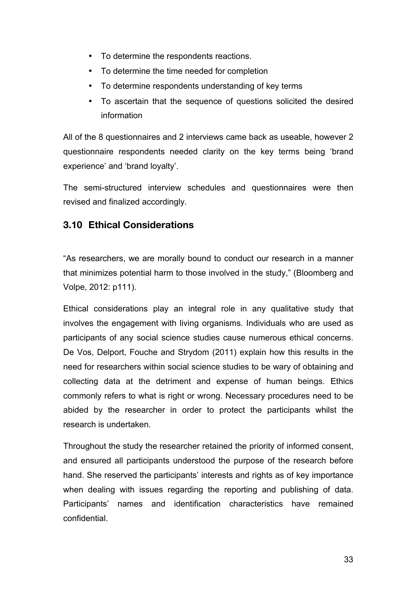- To determine the respondents reactions.
- To determine the time needed for completion
- To determine respondents understanding of key terms
- To ascertain that the sequence of questions solicited the desired information

All of the 8 questionnaires and 2 interviews came back as useable, however 2 questionnaire respondents needed clarity on the key terms being 'brand experience' and 'brand loyalty'.

The semi-structured interview schedules and questionnaires were then revised and finalized accordingly.

## **3.10 Ethical Considerations**

"As researchers, we are morally bound to conduct our research in a manner that minimizes potential harm to those involved in the study," (Bloomberg and Volpe, 2012: p111).

Ethical considerations play an integral role in any qualitative study that involves the engagement with living organisms. Individuals who are used as participants of any social science studies cause numerous ethical concerns. De Vos, Delport, Fouche and Strydom (2011) explain how this results in the need for researchers within social science studies to be wary of obtaining and collecting data at the detriment and expense of human beings. Ethics commonly refers to what is right or wrong. Necessary procedures need to be abided by the researcher in order to protect the participants whilst the research is undertaken.

Throughout the study the researcher retained the priority of informed consent, and ensured all participants understood the purpose of the research before hand. She reserved the participants' interests and rights as of key importance when dealing with issues regarding the reporting and publishing of data. Participants' names and identification characteristics have remained confidential.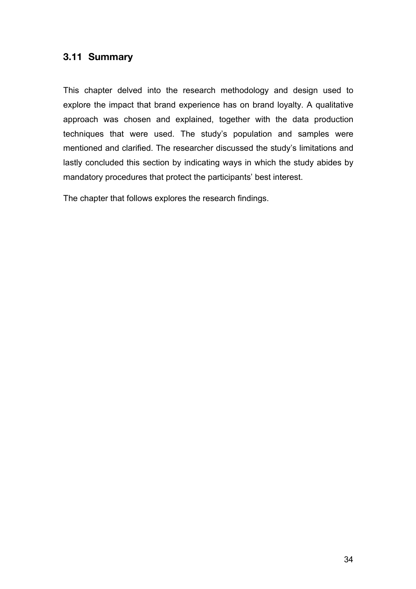## **3.11 Summary**

This chapter delved into the research methodology and design used to explore the impact that brand experience has on brand loyalty. A qualitative approach was chosen and explained, together with the data production techniques that were used. The study's population and samples were mentioned and clarified. The researcher discussed the study's limitations and lastly concluded this section by indicating ways in which the study abides by mandatory procedures that protect the participants' best interest.

The chapter that follows explores the research findings.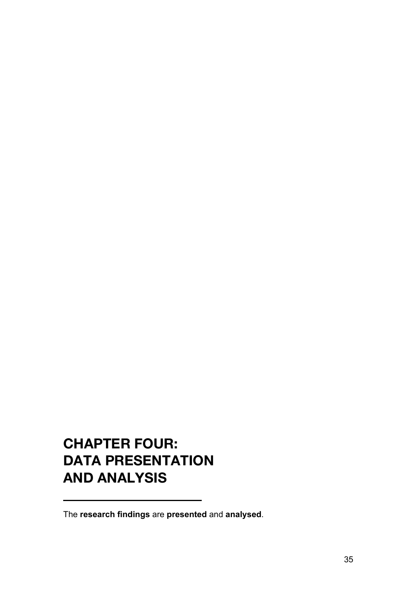# **CHAPTER FOUR: DATA PRESENTATION AND ANALYSIS**

The **research findings** are **presented** and **analysed**.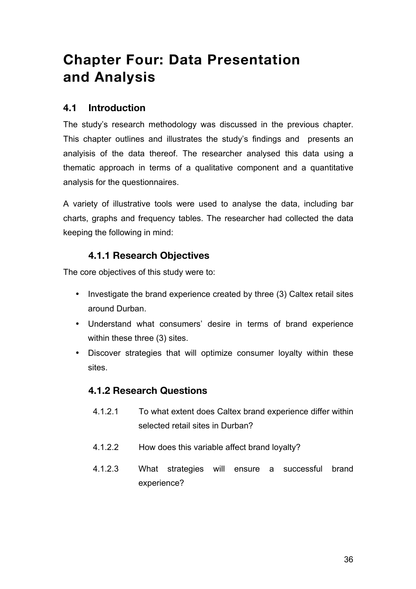# **Chapter Four: Data Presentation and Analysis**

#### **4.1 Introduction**

The study's research methodology was discussed in the previous chapter. This chapter outlines and illustrates the study's findings and presents an analyisis of the data thereof. The researcher analysed this data using a thematic approach in terms of a qualitative component and a quantitative analysis for the questionnaires.

A variety of illustrative tools were used to analyse the data, including bar charts, graphs and frequency tables. The researcher had collected the data keeping the following in mind:

#### **4.1.1 Research Objectives**

The core objectives of this study were to:

- Investigate the brand experience created by three (3) Caltex retail sites around Durban.
- Understand what consumers' desire in terms of brand experience within these three (3) sites.
- Discover strategies that will optimize consumer loyalty within these sites.

### **4.1.2 Research Questions**

- 4.1.2.1 To what extent does Caltex brand experience differ within selected retail sites in Durban?
- 4.1.2.2 How does this variable affect brand loyalty?
- 4.1.2.3 What strategies will ensure a successful brand experience?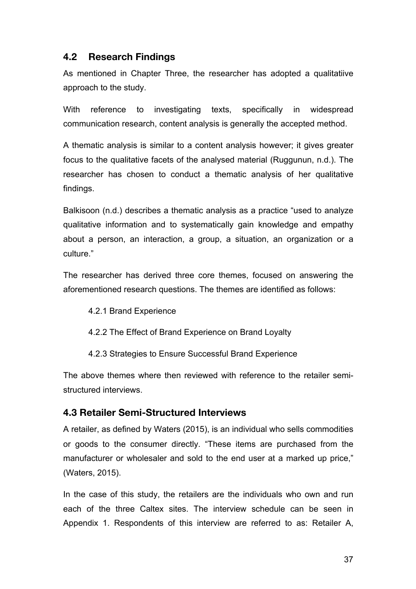#### **4.2 Research Findings**

As mentioned in Chapter Three, the researcher has adopted a qualitatiive approach to the study.

With reference to investigating texts, specifically in widespread communication research, content analysis is generally the accepted method.

A thematic analysis is similar to a content analysis however; it gives greater focus to the qualitative facets of the analysed material (Ruggunun, n.d.). The researcher has chosen to conduct a thematic analysis of her qualitative findings.

Balkisoon (n.d.) describes a thematic analysis as a practice "used to analyze qualitative information and to systematically gain knowledge and empathy about a person, an interaction, a group, a situation, an organization or a culture."

The researcher has derived three core themes, focused on answering the aforementioned research questions. The themes are identified as follows:

- 4.2.1 Brand Experience
- 4.2.2 The Effect of Brand Experience on Brand Loyalty
- 4.2.3 Strategies to Ensure Successful Brand Experience

The above themes where then reviewed with reference to the retailer semistructured interviews.

#### **4.3 Retailer Semi-Structured Interviews**

A retailer, as defined by Waters (2015), is an individual who sells commodities or goods to the consumer directly. "These items are purchased from the manufacturer or wholesaler and sold to the end user at a marked up price," (Waters, 2015).

In the case of this study, the retailers are the individuals who own and run each of the three Caltex sites. The interview schedule can be seen in Appendix 1. Respondents of this interview are referred to as: Retailer A,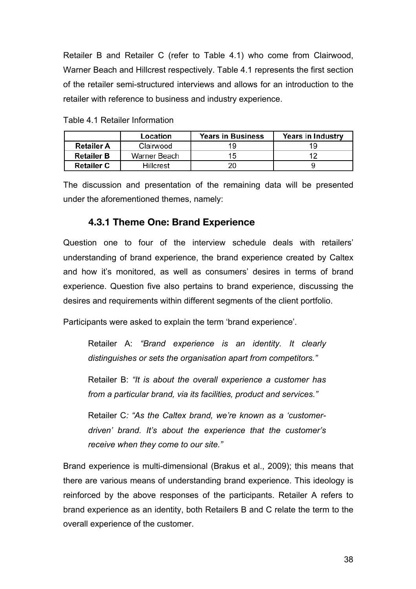Retailer B and Retailer C (refer to Table 4.1) who come from Clairwood, Warner Beach and Hillcrest respectively. Table 4.1 represents the first section of the retailer semi-structured interviews and allows for an introduction to the retailer with reference to business and industry experience.

|                   | Location     | <b>Years in Business</b> | Years in Industry |
|-------------------|--------------|--------------------------|-------------------|
| <b>Retailer A</b> | Clairwood    |                          |                   |
| <b>Retailer B</b> | Warner Beach | 15                       |                   |
| <b>Retailer C</b> | Hillcrest    |                          |                   |

Table 4.1 Retailer Information

The discussion and presentation of the remaining data will be presented under the aforementioned themes, namely:

#### **4.3.1 Theme One: Brand Experience**

Question one to four of the interview schedule deals with retailers' understanding of brand experience, the brand experience created by Caltex and how it's monitored, as well as consumers' desires in terms of brand experience. Question five also pertains to brand experience, discussing the desires and requirements within different segments of the client portfolio.

Participants were asked to explain the term 'brand experience'.

Retailer A: *"Brand experience is an identity. It clearly distinguishes or sets the organisation apart from competitors."* 

Retailer B: *"It is about the overall experience a customer has from a particular brand, via its facilities, product and services."*

Retailer C*: "As the Caltex brand, we're known as a 'customerdriven' brand. It's about the experience that the customer's receive when they come to our site."*

Brand experience is multi-dimensional (Brakus et al., 2009); this means that there are various means of understanding brand experience. This ideology is reinforced by the above responses of the participants. Retailer A refers to brand experience as an identity, both Retailers B and C relate the term to the overall experience of the customer.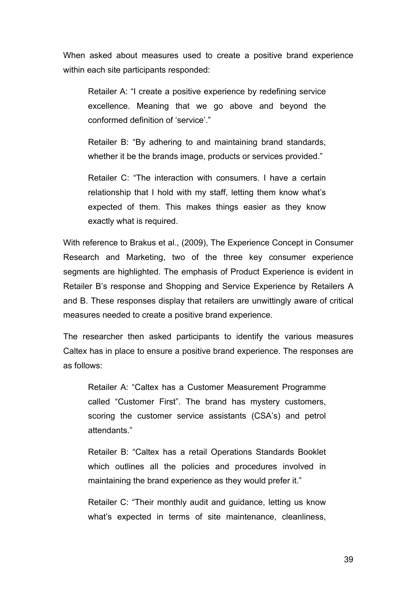When asked about measures used to create a positive brand experience within each site participants responded:

Retailer A: "I create a positive experience by redefining service excellence. Meaning that we go above and beyond the conformed definition of 'service'."

Retailer B: "By adhering to and maintaining brand standards, whether it be the brands image, products or services provided."

Retailer C: "The interaction with consumers. I have a certain relationship that I hold with my staff, letting them know what's expected of them. This makes things easier as they know exactly what is required.

With reference to Brakus et al., (2009), The Experience Concept in Consumer Research and Marketing, two of the three key consumer experience segments are highlighted. The emphasis of Product Experience is evident in Retailer B's response and Shopping and Service Experience by Retailers A and B. These responses display that retailers are unwittingly aware of critical measures needed to create a positive brand experience.

The researcher then asked participants to identify the various measures Caltex has in place to ensure a positive brand experience. The responses are as follows:

Retailer A: "Caltex has a Customer Measurement Programme called "Customer First". The brand has mystery customers, scoring the customer service assistants (CSA's) and petrol attendants."

Retailer B: "Caltex has a retail Operations Standards Booklet which outlines all the policies and procedures involved in maintaining the brand experience as they would prefer it."

Retailer C: "Their monthly audit and guidance, letting us know what's expected in terms of site maintenance, cleanliness,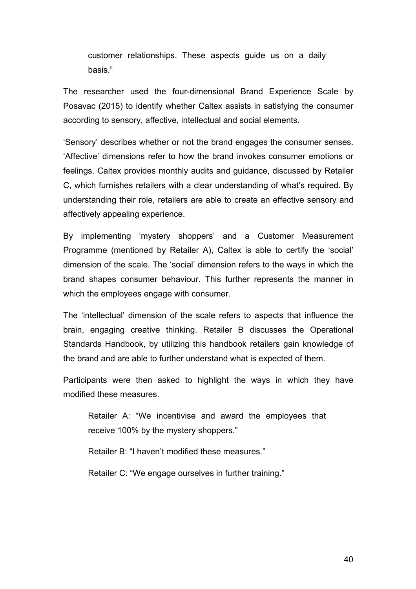customer relationships. These aspects guide us on a daily basis."

The researcher used the four-dimensional Brand Experience Scale by Posavac (2015) to identify whether Caltex assists in satisfying the consumer according to sensory, affective, intellectual and social elements.

'Sensory' describes whether or not the brand engages the consumer senses. 'Affective' dimensions refer to how the brand invokes consumer emotions or feelings. Caltex provides monthly audits and guidance, discussed by Retailer C, which furnishes retailers with a clear understanding of what's required. By understanding their role, retailers are able to create an effective sensory and affectively appealing experience.

By implementing 'mystery shoppers' and a Customer Measurement Programme (mentioned by Retailer A), Caltex is able to certify the 'social' dimension of the scale. The 'social' dimension refers to the ways in which the brand shapes consumer behaviour. This further represents the manner in which the employees engage with consumer.

The 'intellectual' dimension of the scale refers to aspects that influence the brain, engaging creative thinking. Retailer B discusses the Operational Standards Handbook, by utilizing this handbook retailers gain knowledge of the brand and are able to further understand what is expected of them.

Participants were then asked to highlight the ways in which they have modified these measures.

Retailer A: "We incentivise and award the employees that receive 100% by the mystery shoppers."

Retailer B: "I haven't modified these measures."

Retailer C: "We engage ourselves in further training."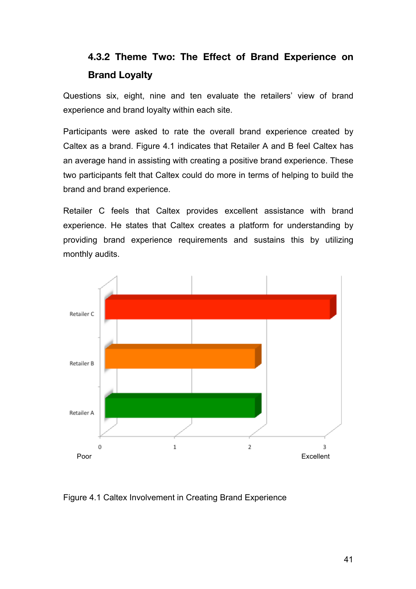## **4.3.2 Theme Two: The Effect of Brand Experience on Brand Loyalty**

Questions six, eight, nine and ten evaluate the retailers' view of brand experience and brand loyalty within each site.

Participants were asked to rate the overall brand experience created by Caltex as a brand. Figure 4.1 indicates that Retailer A and B feel Caltex has an average hand in assisting with creating a positive brand experience. These two participants felt that Caltex could do more in terms of helping to build the brand and brand experience.

Retailer C feels that Caltex provides excellent assistance with brand experience. He states that Caltex creates a platform for understanding by providing brand experience requirements and sustains this by utilizing monthly audits.



Figure 4.1 Caltex Involvement in Creating Brand Experience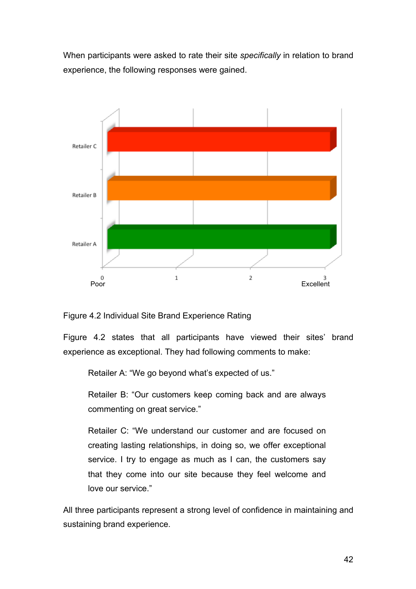When participants were asked to rate their site *specifically* in relation to brand experience, the following responses were gained.



#### Figure 4.2 Individual Site Brand Experience Rating

Figure 4.2 states that all participants have viewed their sites' brand experience as exceptional. They had following comments to make:

Retailer A: "We go beyond what's expected of us."

Retailer B: "Our customers keep coming back and are always commenting on great service."

Retailer C: "We understand our customer and are focused on creating lasting relationships, in doing so, we offer exceptional service. I try to engage as much as I can, the customers say that they come into our site because they feel welcome and love our service."

All three participants represent a strong level of confidence in maintaining and sustaining brand experience.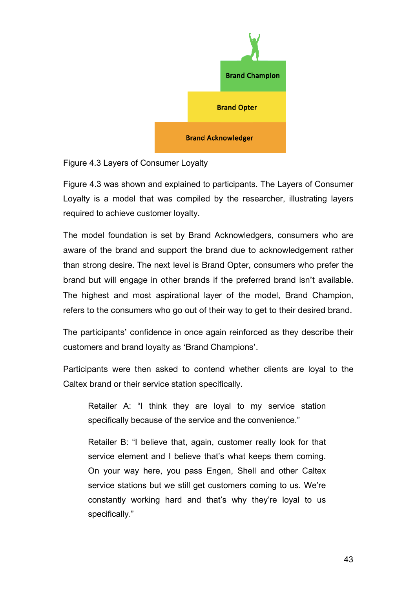

#### Figure 4.3 Layers of Consumer Loyalty

Figure 4.3 was shown and explained to participants. The Layers of Consumer Loyalty is a model that was compiled by the researcher, illustrating layers required to achieve customer loyalty.

The model foundation is set by Brand Acknowledgers, consumers who are aware of the brand and support the brand due to acknowledgement rather than strong desire. The next level is Brand Opter, consumers who prefer the brand but will engage in other brands if the preferred brand isn't available. The highest and most aspirational layer of the model, Brand Champion, refers to the consumers who go out of their way to get to their desired brand.

The participants' confidence in once again reinforced as they describe their customers and brand loyalty as 'Brand Champions'.

Participants were then asked to contend whether clients are loyal to the Caltex brand or their service station specifically.

Retailer A: "I think they are loyal to my service station specifically because of the service and the convenience."

Retailer B: "I believe that, again, customer really look for that service element and I believe that's what keeps them coming. On your way here, you pass Engen, Shell and other Caltex service stations but we still get customers coming to us. We're constantly working hard and that's why they're loyal to us specifically."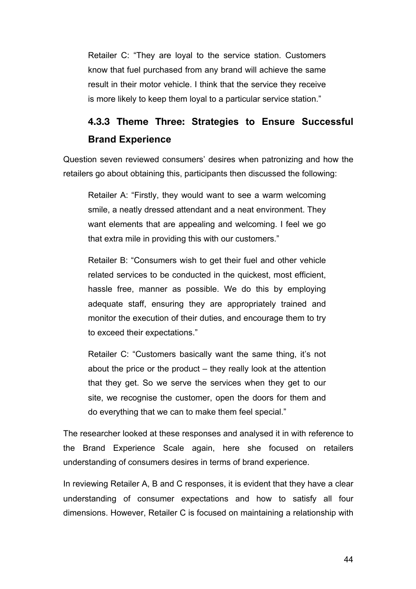Retailer C: "They are loyal to the service station. Customers know that fuel purchased from any brand will achieve the same result in their motor vehicle. I think that the service they receive is more likely to keep them loyal to a particular service station."

## **4.3.3 Theme Three: Strategies to Ensure Successful Brand Experience**

Question seven reviewed consumers' desires when patronizing and how the retailers go about obtaining this, participants then discussed the following:

Retailer A: "Firstly, they would want to see a warm welcoming smile, a neatly dressed attendant and a neat environment. They want elements that are appealing and welcoming. I feel we go that extra mile in providing this with our customers."

Retailer B: "Consumers wish to get their fuel and other vehicle related services to be conducted in the quickest, most efficient, hassle free, manner as possible. We do this by employing adequate staff, ensuring they are appropriately trained and monitor the execution of their duties, and encourage them to try to exceed their expectations."

Retailer C: "Customers basically want the same thing, it's not about the price or the product – they really look at the attention that they get. So we serve the services when they get to our site, we recognise the customer, open the doors for them and do everything that we can to make them feel special."

The researcher looked at these responses and analysed it in with reference to the Brand Experience Scale again, here she focused on retailers understanding of consumers desires in terms of brand experience.

In reviewing Retailer A, B and C responses, it is evident that they have a clear understanding of consumer expectations and how to satisfy all four dimensions. However, Retailer C is focused on maintaining a relationship with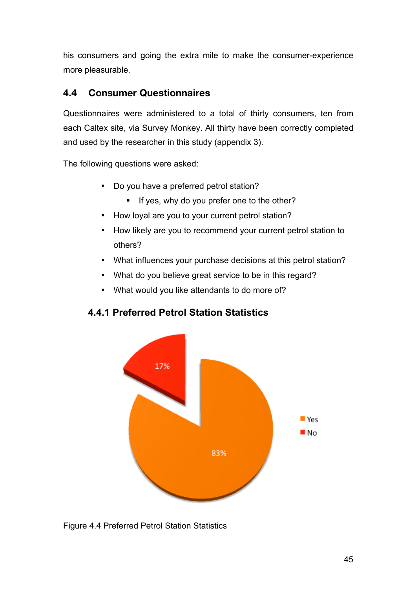his consumers and going the extra mile to make the consumer-experience more pleasurable.

## **4.4 Consumer Questionnaires**

Questionnaires were administered to a total of thirty consumers, ten from each Caltex site, via Survey Monkey. All thirty have been correctly completed and used by the researcher in this study (appendix 3).

The following questions were asked:

- Do you have a preferred petrol station?
	- ! If yes, why do you prefer one to the other?
- How loyal are you to your current petrol station?
- How likely are you to recommend your current petrol station to others?
- What influences your purchase decisions at this petrol station?
- What do you believe great service to be in this regard?
- What would you like attendants to do more of?

### **4.4.1 Preferred Petrol Station Statistics**



Figure 4.4 Preferred Petrol Station Statistics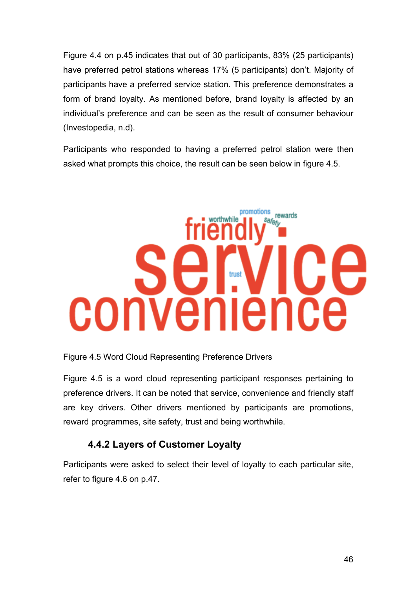Figure 4.4 on p.45 indicates that out of 30 participants, 83% (25 participants) have preferred petrol stations whereas 17% (5 participants) don't. Majority of participants have a preferred service station. This preference demonstrates a form of brand loyalty. As mentioned before, brand loyalty is affected by an individual's preference and can be seen as the result of consumer behaviour (Investopedia, n.d).

Participants who responded to having a preferred petrol station were then asked what prompts this choice, the result can be seen below in figure 4.5.

# promotions rewards worthwhile safety ٢ trust convenience

#### Figure 4.5 Word Cloud Representing Preference Drivers

Figure 4.5 is a word cloud representing participant responses pertaining to preference drivers. It can be noted that service, convenience and friendly staff are key drivers. Other drivers mentioned by participants are promotions, reward programmes, site safety, trust and being worthwhile.

#### **4.4.2 Layers of Customer Loyalty**

Participants were asked to select their level of loyalty to each particular site, refer to figure 4.6 on p.47.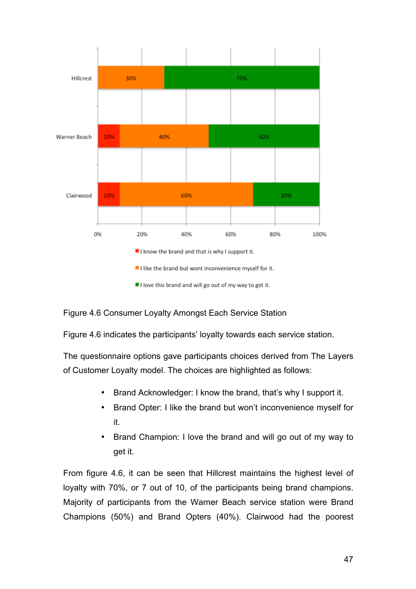

#### Figure 4.6 Consumer Loyalty Amongst Each Service Station

Figure 4.6 indicates the participants' loyalty towards each service station.

The questionnaire options gave participants choices derived from The Layers of Customer Loyalty model. The choices are highlighted as follows:

- Brand Acknowledger: I know the brand, that's why I support it.
- Brand Opter: I like the brand but won't inconvenience myself for it.
- Brand Champion: I love the brand and will go out of my way to get it.

From figure 4.6, it can be seen that Hillcrest maintains the highest level of loyalty with 70%, or 7 out of 10, of the participants being brand champions. Majority of participants from the Warner Beach service station were Brand Champions (50%) and Brand Opters (40%). Clairwood had the poorest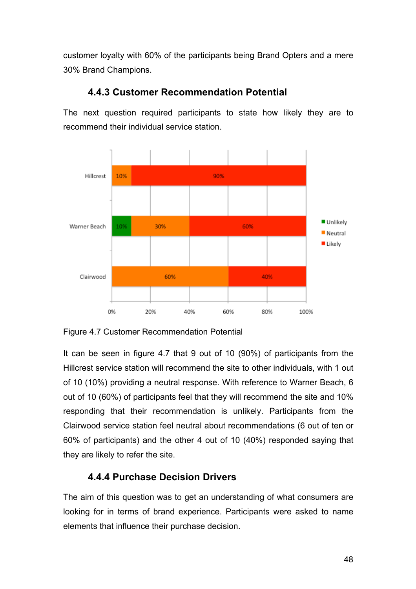customer loyalty with 60% of the participants being Brand Opters and a mere 30% Brand Champions.



#### **4.4.3 Customer Recommendation Potential**

The next question required participants to state how likely they are to recommend their individual service station.

Figure 4.7 Customer Recommendation Potential

It can be seen in figure 4.7 that 9 out of 10 (90%) of participants from the Hillcrest service station will recommend the site to other individuals, with 1 out of 10 (10%) providing a neutral response. With reference to Warner Beach, 6 out of 10 (60%) of participants feel that they will recommend the site and 10% responding that their recommendation is unlikely. Participants from the Clairwood service station feel neutral about recommendations (6 out of ten or 60% of participants) and the other 4 out of 10 (40%) responded saying that they are likely to refer the site.

## **4.4.4 Purchase Decision Drivers**

The aim of this question was to get an understanding of what consumers are looking for in terms of brand experience. Participants were asked to name elements that influence their purchase decision.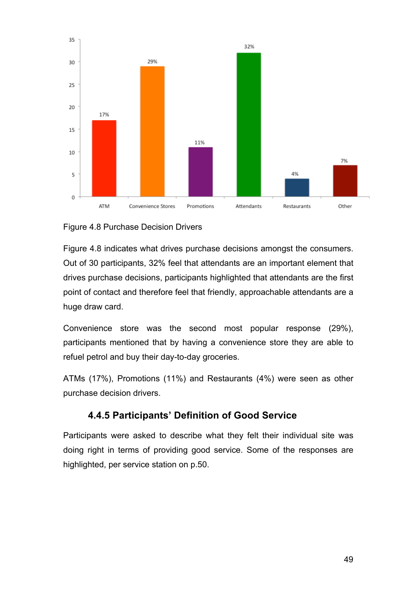

#### Figure 4.8 Purchase Decision Drivers

Figure 4.8 indicates what drives purchase decisions amongst the consumers. Out of 30 participants, 32% feel that attendants are an important element that drives purchase decisions, participants highlighted that attendants are the first point of contact and therefore feel that friendly, approachable attendants are a huge draw card.

Convenience store was the second most popular response (29%), participants mentioned that by having a convenience store they are able to refuel petrol and buy their day-to-day groceries.

ATMs (17%), Promotions (11%) and Restaurants (4%) were seen as other purchase decision drivers.

### **4.4.5 Participants' Definition of Good Service**

Participants were asked to describe what they felt their individual site was doing right in terms of providing good service. Some of the responses are highlighted, per service station on p.50.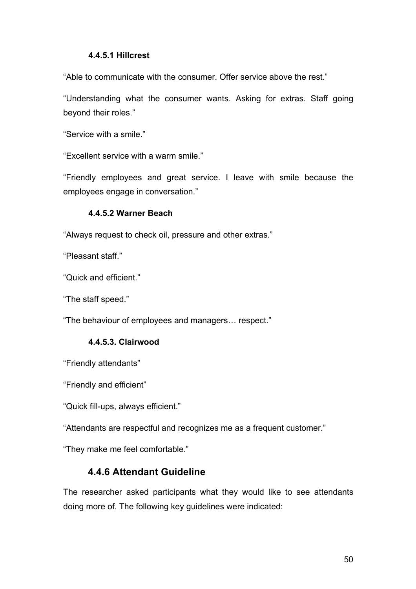#### **4.4.5.1 Hillcrest**

"Able to communicate with the consumer. Offer service above the rest."

"Understanding what the consumer wants. Asking for extras. Staff going beyond their roles."

"Service with a smile."

"Excellent service with a warm smile."

"Friendly employees and great service. I leave with smile because the employees engage in conversation."

#### **4.4.5.2 Warner Beach**

"Always request to check oil, pressure and other extras."

"Pleasant staff."

"Quick and efficient."

"The staff speed."

"The behaviour of employees and managers… respect."

#### **4.4.5.3. Clairwood**

"Friendly attendants"

"Friendly and efficient"

"Quick fill-ups, always efficient."

"Attendants are respectful and recognizes me as a frequent customer."

"They make me feel comfortable."

#### **4.4.6 Attendant Guideline**

The researcher asked participants what they would like to see attendants doing more of. The following key guidelines were indicated: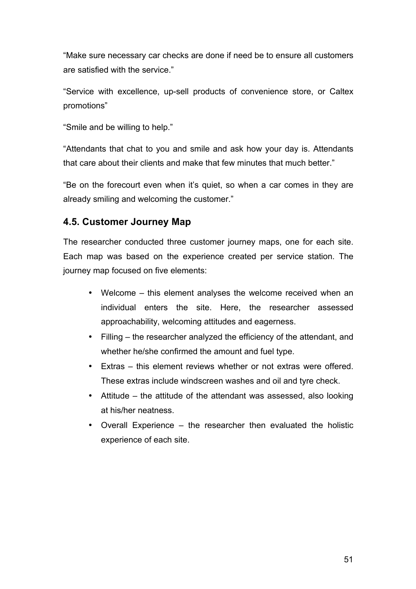"Make sure necessary car checks are done if need be to ensure all customers are satisfied with the service."

"Service with excellence, up-sell products of convenience store, or Caltex promotions"

"Smile and be willing to help."

"Attendants that chat to you and smile and ask how your day is. Attendants that care about their clients and make that few minutes that much better."

"Be on the forecourt even when it's quiet, so when a car comes in they are already smiling and welcoming the customer."

### **4.5. Customer Journey Map**

The researcher conducted three customer journey maps, one for each site. Each map was based on the experience created per service station. The journey map focused on five elements:

- Welcome this element analyses the welcome received when an individual enters the site. Here, the researcher assessed approachability, welcoming attitudes and eagerness.
- Filling the researcher analyzed the efficiency of the attendant, and whether he/she confirmed the amount and fuel type.
- Extras this element reviews whether or not extras were offered. These extras include windscreen washes and oil and tyre check.
- Attitude the attitude of the attendant was assessed, also looking at his/her neatness.
- Overall Experience the researcher then evaluated the holistic experience of each site.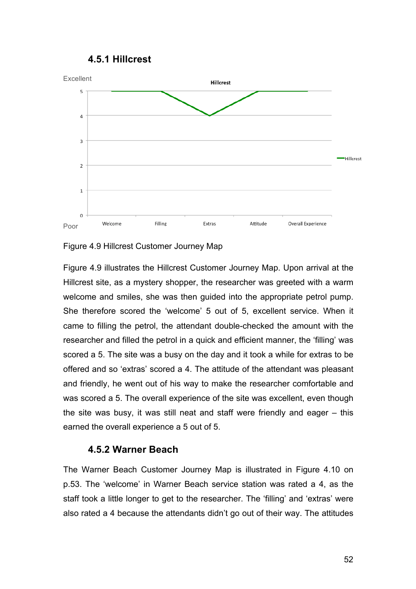



#### Figure 4.9 Hillcrest Customer Journey Map

Figure 4.9 illustrates the Hillcrest Customer Journey Map. Upon arrival at the Hillcrest site, as a mystery shopper, the researcher was greeted with a warm welcome and smiles, she was then guided into the appropriate petrol pump. She therefore scored the 'welcome' 5 out of 5, excellent service. When it came to filling the petrol, the attendant double-checked the amount with the researcher and filled the petrol in a quick and efficient manner, the 'filling' was scored a 5. The site was a busy on the day and it took a while for extras to be offered and so 'extras' scored a 4. The attitude of the attendant was pleasant and friendly, he went out of his way to make the researcher comfortable and was scored a 5. The overall experience of the site was excellent, even though the site was busy, it was still neat and staff were friendly and eager – this earned the overall experience a 5 out of 5.

#### **4.5.2 Warner Beach**

The Warner Beach Customer Journey Map is illustrated in Figure 4.10 on p.53. The 'welcome' in Warner Beach service station was rated a 4, as the staff took a little longer to get to the researcher. The 'filling' and 'extras' were also rated a 4 because the attendants didn't go out of their way. The attitudes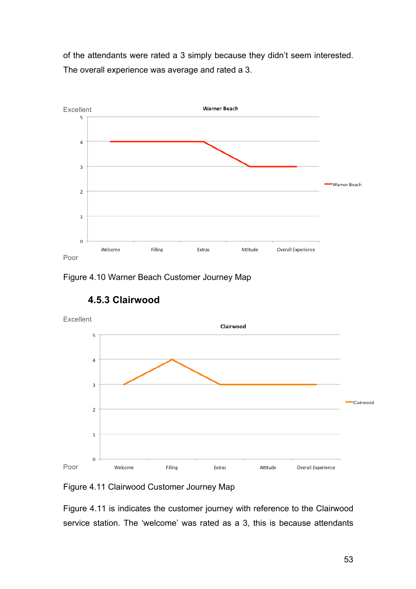of the attendants were rated a 3 simply because they didn't seem interested. The overall experience was average and rated a 3.



Figure 4.10 Warner Beach Customer Journey Map



## **4.5.3 Clairwood**

Figure 4.11 Clairwood Customer Journey Map

Figure 4.11 is indicates the customer journey with reference to the Clairwood service station. The 'welcome' was rated as a 3, this is because attendants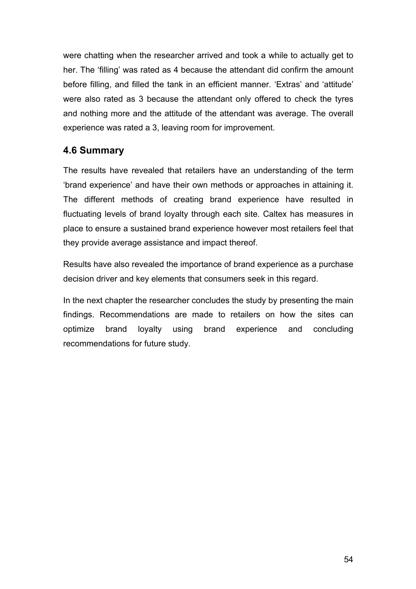were chatting when the researcher arrived and took a while to actually get to her. The 'filling' was rated as 4 because the attendant did confirm the amount before filling, and filled the tank in an efficient manner. 'Extras' and 'attitude' were also rated as 3 because the attendant only offered to check the tyres and nothing more and the attitude of the attendant was average. The overall experience was rated a 3, leaving room for improvement.

### **4.6 Summary**

The results have revealed that retailers have an understanding of the term 'brand experience' and have their own methods or approaches in attaining it. The different methods of creating brand experience have resulted in fluctuating levels of brand loyalty through each site. Caltex has measures in place to ensure a sustained brand experience however most retailers feel that they provide average assistance and impact thereof.

Results have also revealed the importance of brand experience as a purchase decision driver and key elements that consumers seek in this regard.

In the next chapter the researcher concludes the study by presenting the main findings. Recommendations are made to retailers on how the sites can optimize brand loyalty using brand experience and concluding recommendations for future study.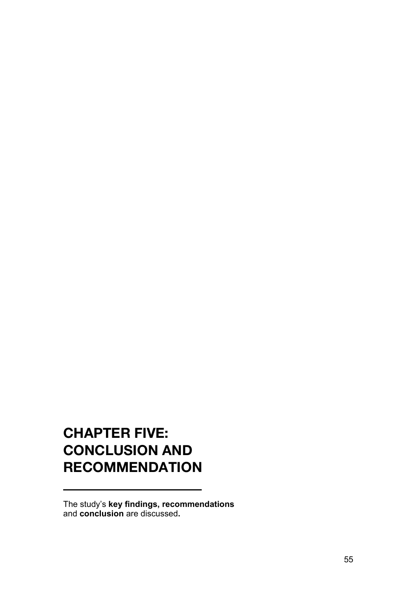# **CHAPTER FIVE: CONCLUSION AND RECOMMENDATION**

The study's **key findings, recommendations**  and **conclusion** are discussed**.**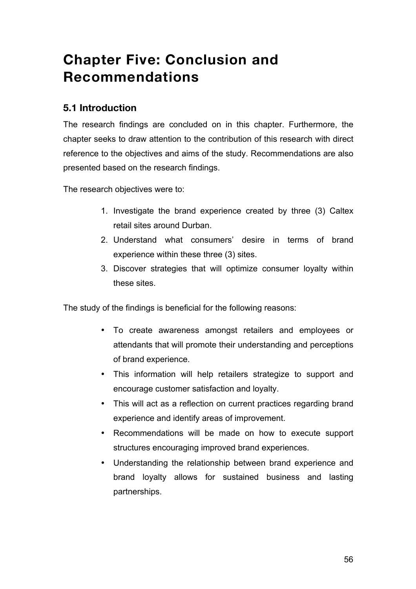# **Chapter Five: Conclusion and Recommendations**

## **5.1 Introduction**

The research findings are concluded on in this chapter. Furthermore, the chapter seeks to draw attention to the contribution of this research with direct reference to the objectives and aims of the study. Recommendations are also presented based on the research findings.

The research objectives were to:

- 1. Investigate the brand experience created by three (3) Caltex retail sites around Durban.
- 2. Understand what consumers' desire in terms of brand experience within these three (3) sites.
- 3. Discover strategies that will optimize consumer loyalty within these sites.

The study of the findings is beneficial for the following reasons:

- To create awareness amongst retailers and employees or attendants that will promote their understanding and perceptions of brand experience.
- This information will help retailers strategize to support and encourage customer satisfaction and loyalty.
- This will act as a reflection on current practices regarding brand experience and identify areas of improvement.
- Recommendations will be made on how to execute support structures encouraging improved brand experiences.
- Understanding the relationship between brand experience and brand loyalty allows for sustained business and lasting partnerships.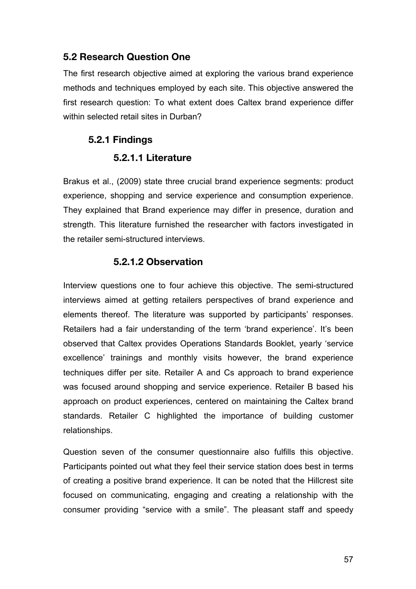#### **5.2 Research Question One**

The first research objective aimed at exploring the various brand experience methods and techniques employed by each site. This objective answered the first research question: To what extent does Caltex brand experience differ within selected retail sites in Durban?

## **5.2.1 Findings**

#### **5.2.1.1 Literature**

Brakus et al., (2009) state three crucial brand experience segments: product experience, shopping and service experience and consumption experience. They explained that Brand experience may differ in presence, duration and strength. This literature furnished the researcher with factors investigated in the retailer semi-structured interviews.

#### **5.2.1.2 Observation**

Interview questions one to four achieve this objective. The semi-structured interviews aimed at getting retailers perspectives of brand experience and elements thereof. The literature was supported by participants' responses. Retailers had a fair understanding of the term 'brand experience'. It's been observed that Caltex provides Operations Standards Booklet, yearly 'service excellence' trainings and monthly visits however, the brand experience techniques differ per site. Retailer A and Cs approach to brand experience was focused around shopping and service experience. Retailer B based his approach on product experiences, centered on maintaining the Caltex brand standards. Retailer C highlighted the importance of building customer relationships.

Question seven of the consumer questionnaire also fulfills this objective. Participants pointed out what they feel their service station does best in terms of creating a positive brand experience. It can be noted that the Hillcrest site focused on communicating, engaging and creating a relationship with the consumer providing "service with a smile". The pleasant staff and speedy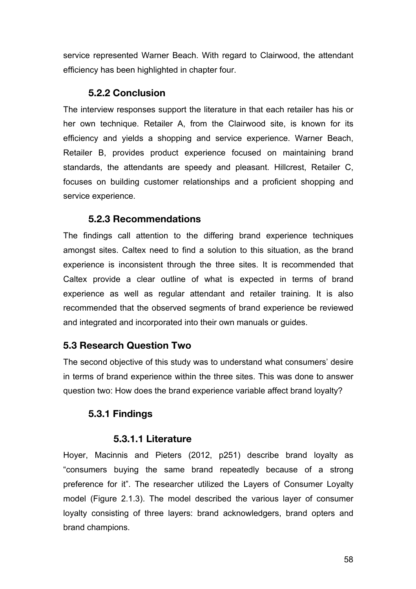service represented Warner Beach. With regard to Clairwood, the attendant efficiency has been highlighted in chapter four.

#### **5.2.2 Conclusion**

The interview responses support the literature in that each retailer has his or her own technique. Retailer A, from the Clairwood site, is known for its efficiency and yields a shopping and service experience. Warner Beach, Retailer B, provides product experience focused on maintaining brand standards, the attendants are speedy and pleasant. Hillcrest, Retailer C, focuses on building customer relationships and a proficient shopping and service experience.

#### **5.2.3 Recommendations**

The findings call attention to the differing brand experience techniques amongst sites. Caltex need to find a solution to this situation, as the brand experience is inconsistent through the three sites. It is recommended that Caltex provide a clear outline of what is expected in terms of brand experience as well as regular attendant and retailer training. It is also recommended that the observed segments of brand experience be reviewed and integrated and incorporated into their own manuals or guides.

### **5.3 Research Question Two**

The second objective of this study was to understand what consumers' desire in terms of brand experience within the three sites. This was done to answer question two: How does the brand experience variable affect brand loyalty?

### **5.3.1 Findings**

### **5.3.1.1 Literature**

Hoyer, Macinnis and Pieters (2012, p251) describe brand loyalty as "consumers buying the same brand repeatedly because of a strong preference for it". The researcher utilized the Layers of Consumer Loyalty model (Figure 2.1.3). The model described the various layer of consumer loyalty consisting of three layers: brand acknowledgers, brand opters and brand champions.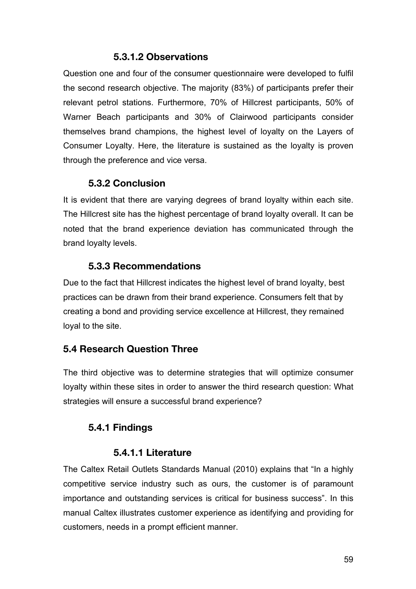#### **5.3.1.2 Observations**

Question one and four of the consumer questionnaire were developed to fulfil the second research objective. The majority (83%) of participants prefer their relevant petrol stations. Furthermore, 70% of Hillcrest participants, 50% of Warner Beach participants and 30% of Clairwood participants consider themselves brand champions, the highest level of loyalty on the Layers of Consumer Loyalty. Here, the literature is sustained as the loyalty is proven through the preference and vice versa.

### **5.3.2 Conclusion**

It is evident that there are varying degrees of brand loyalty within each site. The Hillcrest site has the highest percentage of brand loyalty overall. It can be noted that the brand experience deviation has communicated through the brand loyalty levels.

#### **5.3.3 Recommendations**

Due to the fact that Hillcrest indicates the highest level of brand loyalty, best practices can be drawn from their brand experience. Consumers felt that by creating a bond and providing service excellence at Hillcrest, they remained loyal to the site.

## **5.4 Research Question Three**

The third objective was to determine strategies that will optimize consumer loyalty within these sites in order to answer the third research question: What strategies will ensure a successful brand experience?

### **5.4.1 Findings**

### **5.4.1.1 Literature**

The Caltex Retail Outlets Standards Manual (2010) explains that "In a highly competitive service industry such as ours, the customer is of paramount importance and outstanding services is critical for business success". In this manual Caltex illustrates customer experience as identifying and providing for customers, needs in a prompt efficient manner.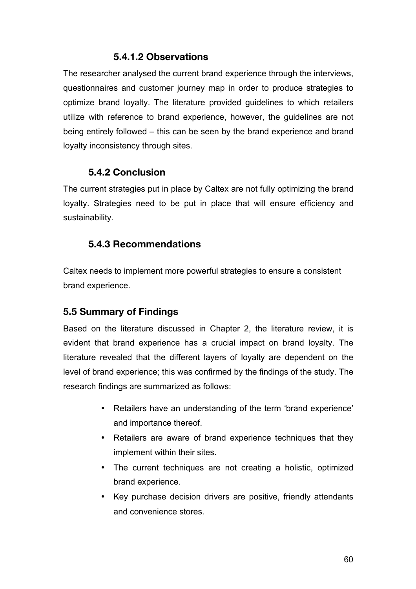#### **5.4.1.2 Observations**

The researcher analysed the current brand experience through the interviews, questionnaires and customer journey map in order to produce strategies to optimize brand loyalty. The literature provided guidelines to which retailers utilize with reference to brand experience, however, the guidelines are not being entirely followed – this can be seen by the brand experience and brand loyalty inconsistency through sites.

#### **5.4.2 Conclusion**

The current strategies put in place by Caltex are not fully optimizing the brand loyalty. Strategies need to be put in place that will ensure efficiency and sustainability.

### **5.4.3 Recommendations**

Caltex needs to implement more powerful strategies to ensure a consistent brand experience.

### **5.5 Summary of Findings**

Based on the literature discussed in Chapter 2, the literature review, it is evident that brand experience has a crucial impact on brand loyalty. The literature revealed that the different layers of loyalty are dependent on the level of brand experience; this was confirmed by the findings of the study. The research findings are summarized as follows:

- Retailers have an understanding of the term 'brand experience' and importance thereof.
- Retailers are aware of brand experience techniques that they implement within their sites.
- The current techniques are not creating a holistic, optimized brand experience.
- Key purchase decision drivers are positive, friendly attendants and convenience stores.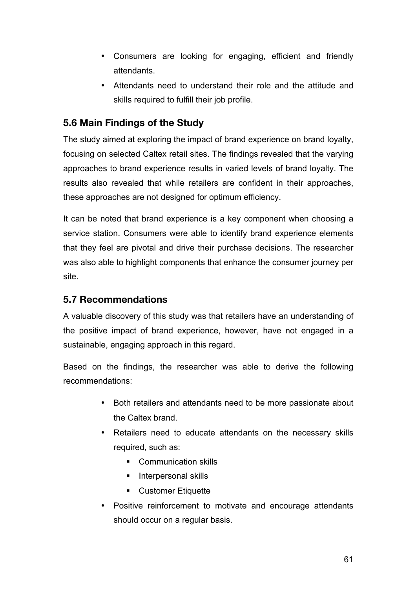- Consumers are looking for engaging, efficient and friendly attendants.
- Attendants need to understand their role and the attitude and skills required to fulfill their job profile.

## **5.6 Main Findings of the Study**

The study aimed at exploring the impact of brand experience on brand loyalty, focusing on selected Caltex retail sites. The findings revealed that the varying approaches to brand experience results in varied levels of brand loyalty. The results also revealed that while retailers are confident in their approaches, these approaches are not designed for optimum efficiency.

It can be noted that brand experience is a key component when choosing a service station. Consumers were able to identify brand experience elements that they feel are pivotal and drive their purchase decisions. The researcher was also able to highlight components that enhance the consumer journey per site.

#### **5.7 Recommendations**

A valuable discovery of this study was that retailers have an understanding of the positive impact of brand experience, however, have not engaged in a sustainable, engaging approach in this regard.

Based on the findings, the researcher was able to derive the following recommendations:

- Both retailers and attendants need to be more passionate about the Caltex brand.
- Retailers need to educate attendants on the necessary skills required, such as:
	- Communication skills
	- **Interpersonal skills**
	- ! Customer Etiquette
- Positive reinforcement to motivate and encourage attendants should occur on a regular basis.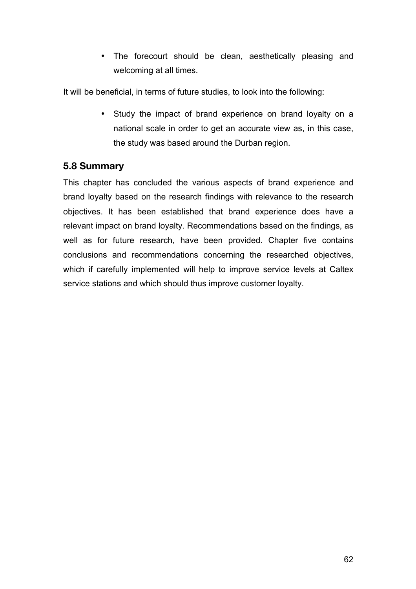• The forecourt should be clean, aesthetically pleasing and welcoming at all times.

It will be beneficial, in terms of future studies, to look into the following:

• Study the impact of brand experience on brand loyalty on a national scale in order to get an accurate view as, in this case, the study was based around the Durban region.

#### **5.8 Summary**

This chapter has concluded the various aspects of brand experience and brand loyalty based on the research findings with relevance to the research objectives. It has been established that brand experience does have a relevant impact on brand loyalty. Recommendations based on the findings, as well as for future research, have been provided. Chapter five contains conclusions and recommendations concerning the researched objectives, which if carefully implemented will help to improve service levels at Caltex service stations and which should thus improve customer loyalty.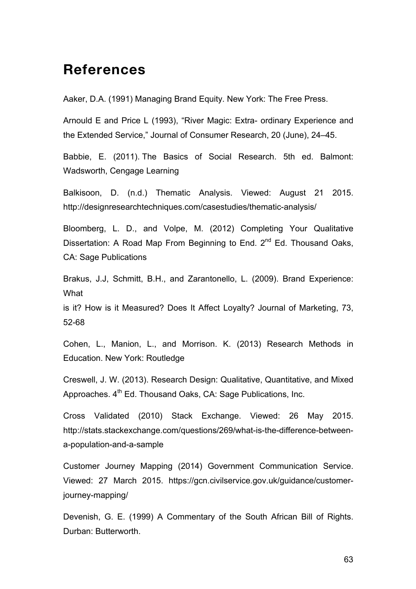## **References**

Aaker, D.A. (1991) Managing Brand Equity. New York: The Free Press.

Arnould E and Price L (1993), "River Magic: Extra- ordinary Experience and the Extended Service," Journal of Consumer Research, 20 (June), 24–45.

Babbie, E. (2011). The Basics of Social Research. 5th ed. Balmont: Wadsworth, Cengage Learning

Balkisoon, D. (n.d.) Thematic Analysis. Viewed: August 21 2015. http://designresearchtechniques.com/casestudies/thematic-analysis/

Bloomberg, L. D., and Volpe, M. (2012) Completing Your Qualitative Dissertation: A Road Map From Beginning to End.  $2^{nd}$  Ed. Thousand Oaks, CA: Sage Publications

Brakus, J.J, Schmitt, B.H., and Zarantonello, L. (2009). Brand Experience: **What** 

is it? How is it Measured? Does It Affect Loyalty? Journal of Marketing, 73, 52-68

Cohen, L., Manion, L., and Morrison. K. (2013) Research Methods in Education. New York: Routledge

Creswell, J. W. (2013). Research Design: Qualitative, Quantitative, and Mixed Approaches.  $4<sup>th</sup>$  Ed. Thousand Oaks, CA: Sage Publications, Inc.

Cross Validated (2010) Stack Exchange. Viewed: 26 May 2015. http://stats.stackexchange.com/questions/269/what-is-the-difference-betweena-population-and-a-sample

Customer Journey Mapping (2014) Government Communication Service. Viewed: 27 March 2015. https://gcn.civilservice.gov.uk/guidance/customerjourney-mapping/

Devenish, G. E. (1999) A Commentary of the South African Bill of Rights. Durban: Butterworth.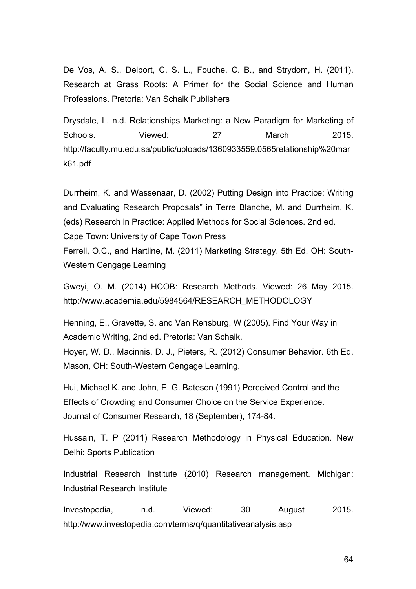De Vos, A. S., Delport, C. S. L., Fouche, C. B., and Strydom, H. (2011). Research at Grass Roots: A Primer for the Social Science and Human Professions. Pretoria: Van Schaik Publishers

Drysdale, L. n.d. Relationships Marketing: a New Paradigm for Marketing of Schools. Viewed: 27 March 2015. http://faculty.mu.edu.sa/public/uploads/1360933559.0565relationship%20mar k61.pdf

Durrheim, K. and Wassenaar, D. (2002) Putting Design into Practice: Writing and Evaluating Research Proposals" in Terre Blanche, M. and Durrheim, K. (eds) Research in Practice: Applied Methods for Social Sciences. 2nd ed. Cape Town: University of Cape Town Press

Ferrell, O.C., and Hartline, M. (2011) Marketing Strategy. 5th Ed. OH: South-Western Cengage Learning

Gweyi, O. M. (2014) HCOB: Research Methods. Viewed: 26 May 2015. http://www.academia.edu/5984564/RESEARCH\_METHODOLOGY

Henning, E., Gravette, S. and Van Rensburg, W (2005). Find Your Way in Academic Writing, 2nd ed. Pretoria: Van Schaik.

Hoyer, W. D., Macinnis, D. J., Pieters, R. (2012) Consumer Behavior. 6th Ed. Mason, OH: South-Western Cengage Learning.

Hui, Michael K. and John, E. G. Bateson (1991) Perceived Control and the Effects of Crowding and Consumer Choice on the Service Experience. Journal of Consumer Research, 18 (September), 174-84.

Hussain, T. P (2011) Research Methodology in Physical Education. New Delhi: Sports Publication

Industrial Research Institute (2010) Research management. Michigan: Industrial Research Institute

Investopedia, n.d. Viewed: 30 August 2015. http://www.investopedia.com/terms/q/quantitativeanalysis.asp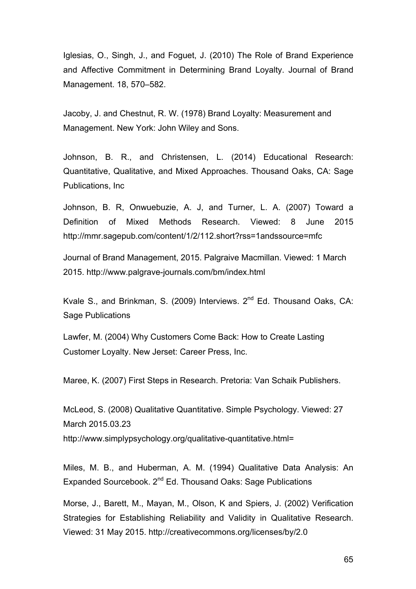Iglesias, O., Singh, J., and Foguet, J. (2010) The Role of Brand Experience and Affective Commitment in Determining Brand Loyalty. Journal of Brand Management. 18, 570–582.

Jacoby, J. and Chestnut, R. W. (1978) Brand Loyalty: Measurement and Management. New York: John Wiley and Sons.

Johnson, B. R., and Christensen, L. (2014) Educational Research: Quantitative, Qualitative, and Mixed Approaches. Thousand Oaks, CA: Sage Publications, Inc

Johnson, B. R, Onwuebuzie, A. J, and Turner, L. A. (2007) Toward a Definition of Mixed Methods Research. Viewed: 8 June 2015 http://mmr.sagepub.com/content/1/2/112.short?rss=1andssource=mfc

Journal of Brand Management, 2015. Palgraive Macmillan. Viewed: 1 March 2015. http://www.palgrave-journals.com/bm/index.html

Kvale S., and Brinkman, S. (2009) Interviews. 2<sup>nd</sup> Ed. Thousand Oaks, CA: Sage Publications

Lawfer, M. (2004) Why Customers Come Back: How to Create Lasting Customer Loyalty. New Jerset: Career Press, Inc.

Maree, K. (2007) First Steps in Research. Pretoria: Van Schaik Publishers.

McLeod, S. (2008) Qualitative Quantitative. Simple Psychology. Viewed: 27 March 2015.03.23

http://www.simplypsychology.org/qualitative-quantitative.html=

Miles, M. B., and Huberman, A. M. (1994) Qualitative Data Analysis: An Expanded Sourcebook. 2<sup>nd</sup> Ed. Thousand Oaks: Sage Publications

Morse, J., Barett, M., Mayan, M., Olson, K and Spiers, J. (2002) Verification Strategies for Establishing Reliability and Validity in Qualitative Research. Viewed: 31 May 2015. http://creativecommons.org/licenses/by/2.0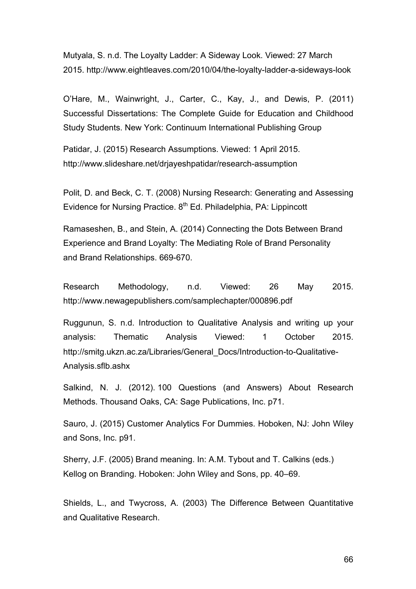Mutyala, S. n.d. The Loyalty Ladder: A Sideway Look. Viewed: 27 March 2015. http://www.eightleaves.com/2010/04/the-loyalty-ladder-a-sideways-look

O'Hare, M., Wainwright, J., Carter, C., Kay, J., and Dewis, P. (2011) Successful Dissertations: The Complete Guide for Education and Childhood Study Students. New York: Continuum International Publishing Group

Patidar, J. (2015) Research Assumptions. Viewed: 1 April 2015. http://www.slideshare.net/drjayeshpatidar/research-assumption

Polit, D. and Beck, C. T. (2008) Nursing Research: Generating and Assessing Evidence for Nursing Practice,  $8<sup>th</sup>$  Ed. Philadelphia, PA: Lippincott

Ramaseshen, B., and Stein, A. (2014) Connecting the Dots Between Brand Experience and Brand Loyalty: The Mediating Role of Brand Personality and Brand Relationships. 669-670.

Research Methodology, n.d. Viewed: 26 May 2015. http://www.newagepublishers.com/samplechapter/000896.pdf

Ruggunun, S. n.d. Introduction to Qualitative Analysis and writing up your analysis: Thematic Analysis Viewed: 1 October 2015. http://smitg.ukzn.ac.za/Libraries/General\_Docs/Introduction-to-Qualitative-Analysis.sflb.ashx

Salkind, N. J. (2012). 100 Questions (and Answers) About Research Methods. Thousand Oaks, CA: Sage Publications, Inc. p71.

Sauro, J. (2015) Customer Analytics For Dummies. Hoboken, NJ: John Wiley and Sons, Inc. p91.

Sherry, J.F. (2005) Brand meaning. In: A.M. Tybout and T. Calkins (eds.) Kellog on Branding. Hoboken: John Wiley and Sons, pp. 40–69.

Shields, L., and Twycross, A. (2003) The Difference Between Quantitative and Qualitative Research.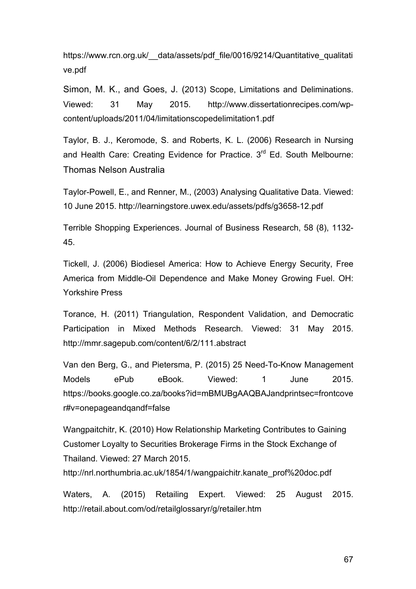https://www.rcn.org.uk/ data/assets/pdf\_file/0016/9214/Quantitative\_qualitati ve.pdf

Simon, M. K., and Goes, J. (2013) Scope, Limitations and Deliminations. Viewed: 31 May 2015. http://www.dissertationrecipes.com/wpcontent/uploads/2011/04/limitationscopedelimitation1.pdf

Taylor, B. J., Keromode, S. and Roberts, K. L. (2006) Research in Nursing and Health Care: Creating Evidence for Practice. 3<sup>rd</sup> Ed. South Melbourne: Thomas Nelson Australia

Taylor-Powell, E., and Renner, M., (2003) Analysing Qualitative Data. Viewed: 10 June 2015. http://learningstore.uwex.edu/assets/pdfs/g3658-12.pdf

Terrible Shopping Experiences. Journal of Business Research, 58 (8), 1132- 45.

Tickell, J. (2006) Biodiesel America: How to Achieve Energy Security, Free America from Middle-Oil Dependence and Make Money Growing Fuel. OH: Yorkshire Press

Torance, H. (2011) Triangulation, Respondent Validation, and Democratic Participation in Mixed Methods Research. Viewed: 31 May 2015. http://mmr.sagepub.com/content/6/2/111.abstract

Van den Berg, G., and Pietersma, P. (2015) 25 Need-To-Know Management Models ePub eBook. Viewed: 1 June 2015. https://books.google.co.za/books?id=mBMUBgAAQBAJandprintsec=frontcove r#v=onepageandqandf=false

Wangpaitchitr, K. (2010) How Relationship Marketing Contributes to Gaining Customer Loyalty to Securities Brokerage Firms in the Stock Exchange of Thailand. Viewed: 27 March 2015.

http://nrl.northumbria.ac.uk/1854/1/wangpaichitr.kanate\_prof%20doc.pdf

Waters, A. (2015) Retailing Expert. Viewed: 25 August 2015. http://retail.about.com/od/retailglossaryr/g/retailer.htm

67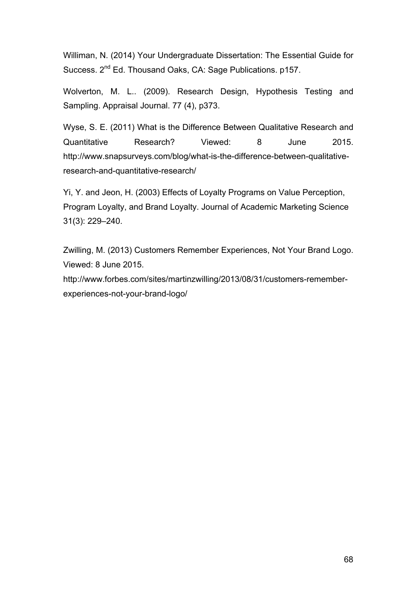Williman, N. (2014) Your Undergraduate Dissertation: The Essential Guide for Success. 2<sup>nd</sup> Ed. Thousand Oaks, CA: Sage Publications. p157.

Wolverton, M. L.. (2009). Research Design, Hypothesis Testing and Sampling. Appraisal Journal. 77 (4), p373.

Wyse, S. E. (2011) What is the Difference Between Qualitative Research and Quantitative Research? Viewed: 8 June 2015. http://www.snapsurveys.com/blog/what-is-the-difference-between-qualitativeresearch-and-quantitative-research/

Yi, Y. and Jeon, H. (2003) Effects of Loyalty Programs on Value Perception, Program Loyalty, and Brand Loyalty. Journal of Academic Marketing Science 31(3): 229–240.

Zwilling, M. (2013) Customers Remember Experiences, Not Your Brand Logo. Viewed: 8 June 2015.

http://www.forbes.com/sites/martinzwilling/2013/08/31/customers-rememberexperiences-not-your-brand-logo/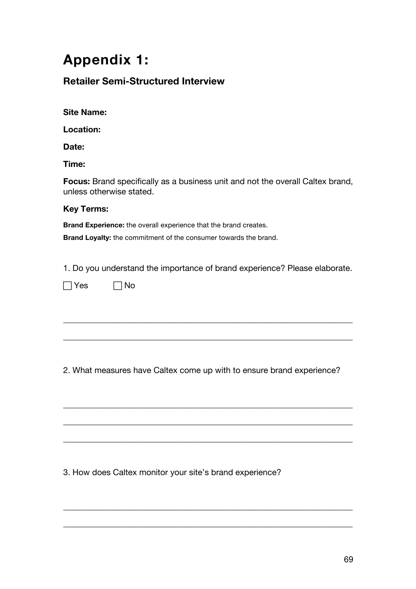## **Appendix 1:**

## **Retailer Semi-Structured Interview**

**Location:**

**Date:**

**Time:**

**Focus:** Brand specifically as a business unit and not the overall Caltex brand, unless otherwise stated.

#### **Key Terms:**

**Brand Experience:** the overall experience that the brand creates.

**Brand Loyalty:** the commitment of the consumer towards the brand.

1. Do you understand the importance of brand experience? Please elaborate.

\_\_\_\_\_\_\_\_\_\_\_\_\_\_\_\_\_\_\_\_\_\_\_\_\_\_\_\_\_\_\_\_\_\_\_\_\_\_\_\_\_\_\_\_\_\_\_\_\_\_\_\_\_\_\_\_\_\_\_\_\_\_\_\_\_\_\_\_\_

\_\_\_\_\_\_\_\_\_\_\_\_\_\_\_\_\_\_\_\_\_\_\_\_\_\_\_\_\_\_\_\_\_\_\_\_\_\_\_\_\_\_\_\_\_\_\_\_\_\_\_\_\_\_\_\_\_\_\_\_\_\_\_\_\_\_\_\_\_

| Yes | 7No |
|-----|-----|
|-----|-----|

2. What measures have Caltex come up with to ensure brand experience?

\_\_\_\_\_\_\_\_\_\_\_\_\_\_\_\_\_\_\_\_\_\_\_\_\_\_\_\_\_\_\_\_\_\_\_\_\_\_\_\_\_\_\_\_\_\_\_\_\_\_\_\_\_\_\_\_\_\_\_\_\_\_\_\_\_\_\_\_\_

\_\_\_\_\_\_\_\_\_\_\_\_\_\_\_\_\_\_\_\_\_\_\_\_\_\_\_\_\_\_\_\_\_\_\_\_\_\_\_\_\_\_\_\_\_\_\_\_\_\_\_\_\_\_\_\_\_\_\_\_\_\_\_\_\_\_\_\_\_

\_\_\_\_\_\_\_\_\_\_\_\_\_\_\_\_\_\_\_\_\_\_\_\_\_\_\_\_\_\_\_\_\_\_\_\_\_\_\_\_\_\_\_\_\_\_\_\_\_\_\_\_\_\_\_\_\_\_\_\_\_\_\_\_\_\_\_\_\_

\_\_\_\_\_\_\_\_\_\_\_\_\_\_\_\_\_\_\_\_\_\_\_\_\_\_\_\_\_\_\_\_\_\_\_\_\_\_\_\_\_\_\_\_\_\_\_\_\_\_\_\_\_\_\_\_\_\_\_\_\_\_\_\_\_\_\_\_\_

\_\_\_\_\_\_\_\_\_\_\_\_\_\_\_\_\_\_\_\_\_\_\_\_\_\_\_\_\_\_\_\_\_\_\_\_\_\_\_\_\_\_\_\_\_\_\_\_\_\_\_\_\_\_\_\_\_\_\_\_\_\_\_\_\_\_\_\_\_

3. How does Caltex monitor your site's brand experience?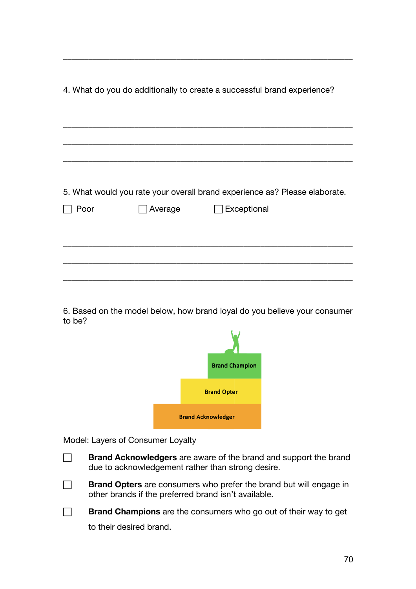| 4. What do you do additionally to create a successful brand experience?    |         |                    |
|----------------------------------------------------------------------------|---------|--------------------|
|                                                                            |         |                    |
|                                                                            |         |                    |
|                                                                            |         |                    |
|                                                                            |         |                    |
| 5. What would you rate your overall brand experience as? Please elaborate. |         |                    |
| Poor                                                                       | Average | <b>Exceptional</b> |
|                                                                            |         |                    |
|                                                                            |         |                    |
|                                                                            |         |                    |
|                                                                            |         |                    |

\_\_\_\_\_\_\_\_\_\_\_\_\_\_\_\_\_\_\_\_\_\_\_\_\_\_\_\_\_\_\_\_\_\_\_\_\_\_\_\_\_\_\_\_\_\_\_\_\_\_\_\_\_\_\_\_\_\_\_\_\_\_\_\_\_\_\_\_\_

6. Based on the model below, how brand loyal do you believe your consumer to be?



Model: Layers of Consumer Loyalty

- **Brand Acknowledgers** are aware of the brand and support the brand due to acknowledgement rather than strong desire.
- **Brand Opters** are consumers who prefer the brand but will engage in other brands if the preferred brand isn't available.

**Brand Champions** are the consumers who go out of their way to get to their desired brand.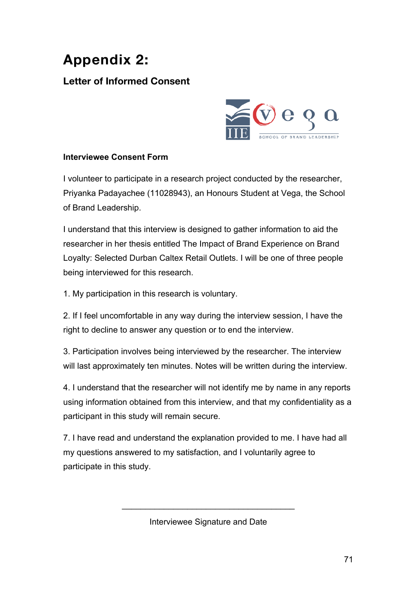# **Appendix 2:**

## **Letter of Informed Consent**



### **Interviewee Consent Form**

I volunteer to participate in a research project conducted by the researcher, Priyanka Padayachee (11028943), an Honours Student at Vega, the School of Brand Leadership.

I understand that this interview is designed to gather information to aid the researcher in her thesis entitled The Impact of Brand Experience on Brand Loyalty: Selected Durban Caltex Retail Outlets. I will be one of three people being interviewed for this research.

1. My participation in this research is voluntary.

2. If I feel uncomfortable in any way during the interview session, I have the right to decline to answer any question or to end the interview.

3. Participation involves being interviewed by the researcher. The interview will last approximately ten minutes. Notes will be written during the interview.

4. I understand that the researcher will not identify me by name in any reports using information obtained from this interview, and that my confidentiality as a participant in this study will remain secure.

7. I have read and understand the explanation provided to me. I have had all my questions answered to my satisfaction, and I voluntarily agree to participate in this study.

Interviewee Signature and Date

 $\mathcal{L}_\text{max}$  and  $\mathcal{L}_\text{max}$  and  $\mathcal{L}_\text{max}$  and  $\mathcal{L}_\text{max}$